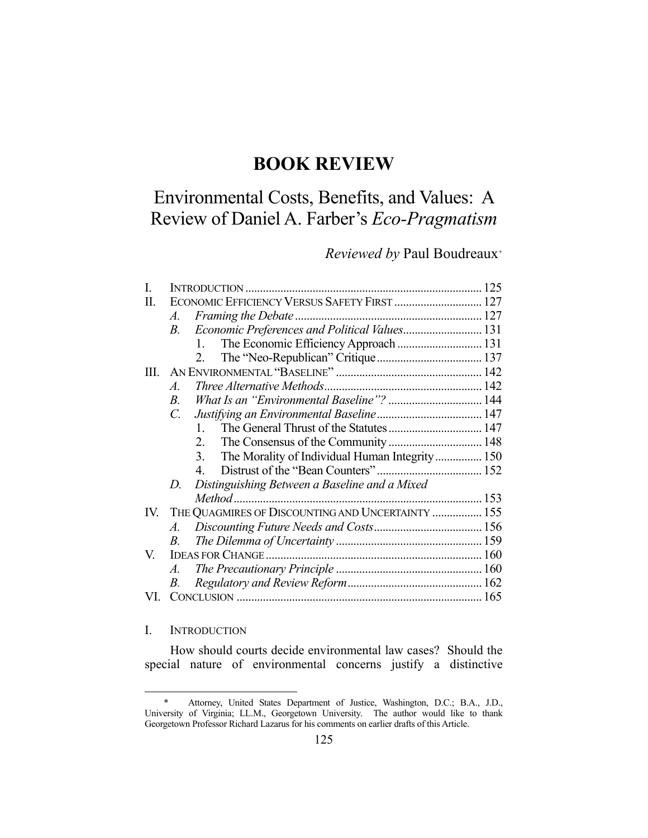# **BOOK REVIEW**

# Environmental Costs, Benefits, and Values: A Review of Daniel A. Farber's *Eco-Pragmatism*

# *Reviewed by* Paul Boudreaux\*

| I.   |                                                             |  |
|------|-------------------------------------------------------------|--|
| П.   | ECONOMIC EFFICIENCY VERSUS SAFETY FIRST  127                |  |
|      | A.                                                          |  |
|      | Economic Preferences and Political Values 131<br><i>B</i> . |  |
|      | The Economic Efficiency Approach  131<br>1.                 |  |
|      | 2.                                                          |  |
| III. |                                                             |  |
|      | A.                                                          |  |
|      | What Is an "Environmental Baseline"?  144<br>$B$ .          |  |
|      | $C_{\cdot}$                                                 |  |
|      | 1.                                                          |  |
|      | 2.                                                          |  |
|      | The Morality of Individual Human Integrity  150<br>3.       |  |
|      | 4                                                           |  |
|      | Distinguishing Between a Baseline and a Mixed<br>D.         |  |
|      |                                                             |  |
| IV.  | THE QUAGMIRES OF DISCOUNTING AND UNCERTAINTY  155           |  |
|      | A.                                                          |  |
|      | В.                                                          |  |
| V.   |                                                             |  |
|      | $A_{\cdot}$                                                 |  |
|      | В.                                                          |  |
| VI.  |                                                             |  |

# I. INTRODUCTION

1

 How should courts decide environmental law cases? Should the special nature of environmental concerns justify a distinctive

 <sup>\*</sup> Attorney, United States Department of Justice, Washington, D.C.; B.A., J.D., University of Virginia; LL.M., Georgetown University. The author would like to thank Georgetown Professor Richard Lazarus for his comments on earlier drafts of this Article.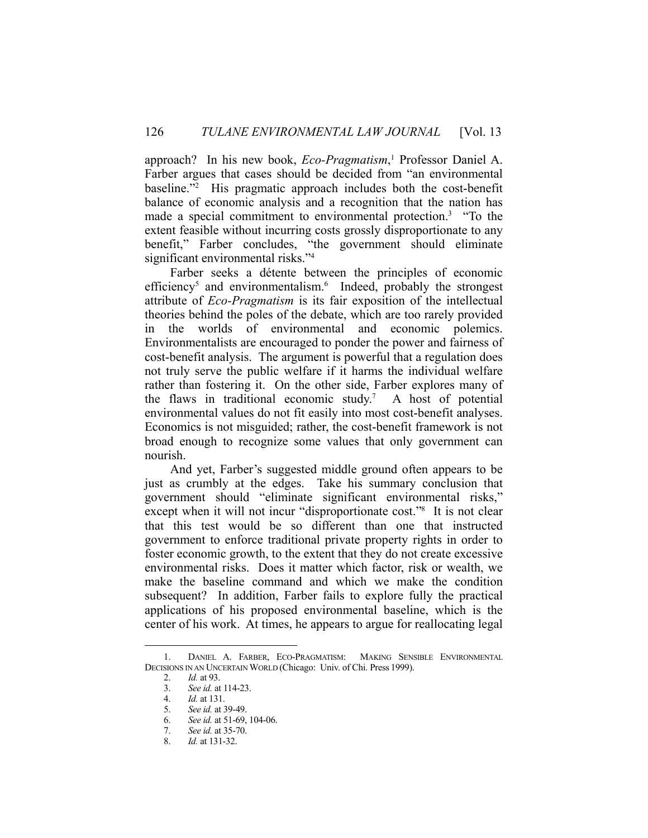approach? In his new book, *Eco-Pragmatism*, 1 Professor Daniel A. Farber argues that cases should be decided from "an environmental baseline."2 His pragmatic approach includes both the cost-benefit balance of economic analysis and a recognition that the nation has made a special commitment to environmental protection.<sup>3</sup> "To the extent feasible without incurring costs grossly disproportionate to any benefit," Farber concludes, "the government should eliminate significant environmental risks."<sup>4</sup>

 Farber seeks a détente between the principles of economic efficiency<sup>5</sup> and environmentalism.<sup>6</sup> Indeed, probably the strongest attribute of *Eco-Pragmatism* is its fair exposition of the intellectual theories behind the poles of the debate, which are too rarely provided in the worlds of environmental and economic polemics. Environmentalists are encouraged to ponder the power and fairness of cost-benefit analysis. The argument is powerful that a regulation does not truly serve the public welfare if it harms the individual welfare rather than fostering it. On the other side, Farber explores many of the flaws in traditional economic study.<sup>7</sup> A host of potential environmental values do not fit easily into most cost-benefit analyses. Economics is not misguided; rather, the cost-benefit framework is not broad enough to recognize some values that only government can nourish.

 And yet, Farber's suggested middle ground often appears to be just as crumbly at the edges. Take his summary conclusion that government should "eliminate significant environmental risks," except when it will not incur "disproportionate cost."<sup>8</sup> It is not clear that this test would be so different than one that instructed government to enforce traditional private property rights in order to foster economic growth, to the extent that they do not create excessive environmental risks. Does it matter which factor, risk or wealth, we make the baseline command and which we make the condition subsequent? In addition, Farber fails to explore fully the practical applications of his proposed environmental baseline, which is the center of his work. At times, he appears to argue for reallocating legal

 <sup>1.</sup> DANIEL A. FARBER, ECO-PRAGMATISM: MAKING SENSIBLE ENVIRONMENTAL DECISIONS IN AN UNCERTAIN WORLD (Chicago: Univ. of Chi. Press 1999).

 <sup>2.</sup> *Id.* at 93.

 <sup>3.</sup> *See id.* at 114-23.

 <sup>4.</sup> *Id.* at 131.

 <sup>5.</sup> *See id.* at 39-49.

 <sup>6.</sup> *See id.* at 51-69, 104-06.

 <sup>7.</sup> *See id.* at 35-70.

 <sup>8.</sup> *Id.* at 131-32.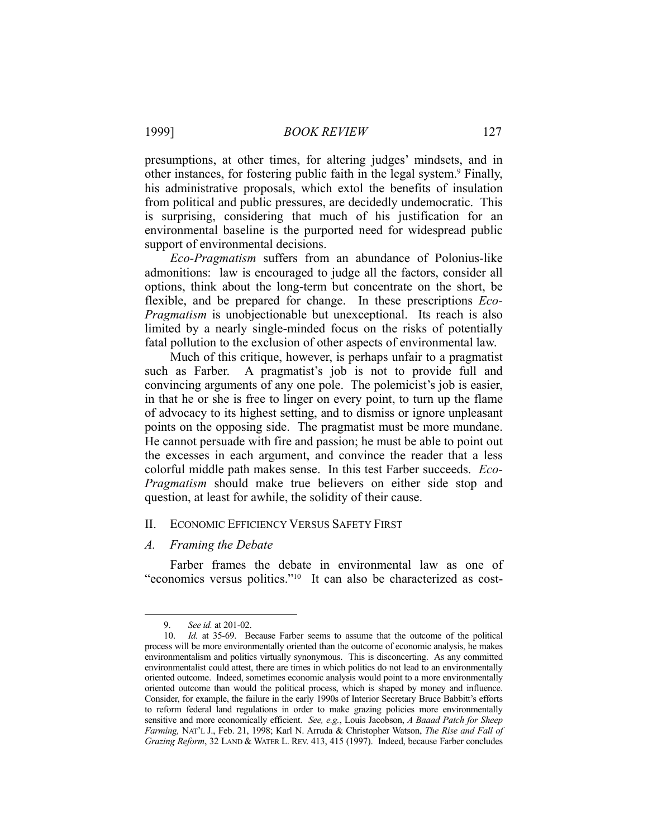presumptions, at other times, for altering judges' mindsets, and in other instances, for fostering public faith in the legal system.<sup>9</sup> Finally, his administrative proposals, which extol the benefits of insulation from political and public pressures, are decidedly undemocratic. This is surprising, considering that much of his justification for an environmental baseline is the purported need for widespread public support of environmental decisions.

 *Eco-Pragmatism* suffers from an abundance of Polonius-like admonitions: law is encouraged to judge all the factors, consider all options, think about the long-term but concentrate on the short, be flexible, and be prepared for change. In these prescriptions *Eco-Pragmatism* is unobjectionable but unexceptional. Its reach is also limited by a nearly single-minded focus on the risks of potentially fatal pollution to the exclusion of other aspects of environmental law.

 Much of this critique, however, is perhaps unfair to a pragmatist such as Farber. A pragmatist's job is not to provide full and convincing arguments of any one pole. The polemicist's job is easier, in that he or she is free to linger on every point, to turn up the flame of advocacy to its highest setting, and to dismiss or ignore unpleasant points on the opposing side. The pragmatist must be more mundane. He cannot persuade with fire and passion; he must be able to point out the excesses in each argument, and convince the reader that a less colorful middle path makes sense. In this test Farber succeeds. *Eco-Pragmatism* should make true believers on either side stop and question, at least for awhile, the solidity of their cause.

#### II. ECONOMIC EFFICIENCY VERSUS SAFETY FIRST

#### *A. Framing the Debate*

 Farber frames the debate in environmental law as one of "economics versus politics."10 It can also be characterized as cost-

 <sup>9.</sup> *See id.* at 201-02.

 <sup>10.</sup> *Id.* at 35-69. Because Farber seems to assume that the outcome of the political process will be more environmentally oriented than the outcome of economic analysis, he makes environmentalism and politics virtually synonymous. This is disconcerting. As any committed environmentalist could attest, there are times in which politics do not lead to an environmentally oriented outcome. Indeed, sometimes economic analysis would point to a more environmentally oriented outcome than would the political process, which is shaped by money and influence. Consider, for example, the failure in the early 1990s of Interior Secretary Bruce Babbitt's efforts to reform federal land regulations in order to make grazing policies more environmentally sensitive and more economically efficient. *See, e.g.*, Louis Jacobson, *A Baaad Patch for Sheep Farming,* NAT'L J., Feb. 21, 1998; Karl N. Arruda & Christopher Watson, *The Rise and Fall of Grazing Reform*, 32 LAND & WATER L. REV. 413, 415 (1997). Indeed, because Farber concludes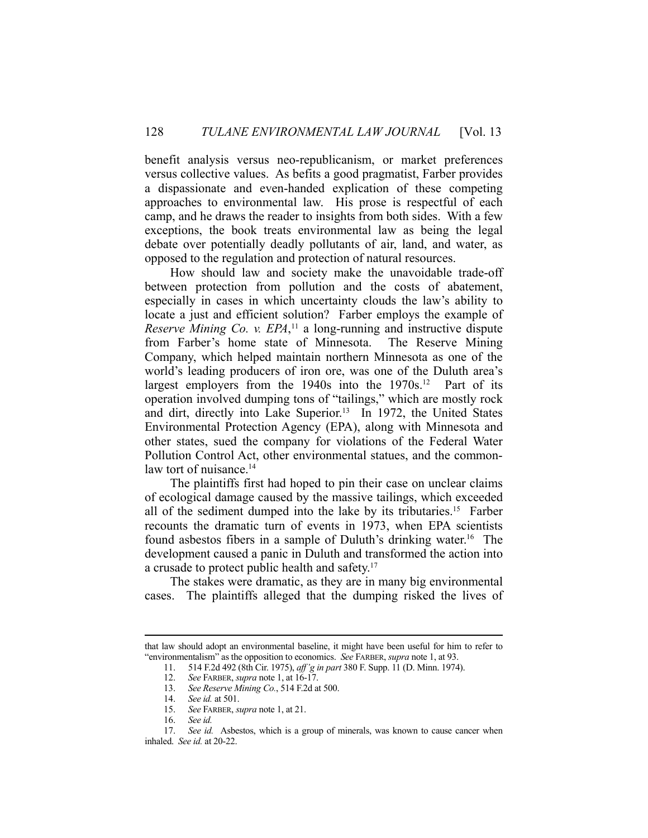benefit analysis versus neo-republicanism, or market preferences versus collective values. As befits a good pragmatist, Farber provides a dispassionate and even-handed explication of these competing approaches to environmental law. His prose is respectful of each camp, and he draws the reader to insights from both sides. With a few exceptions, the book treats environmental law as being the legal debate over potentially deadly pollutants of air, land, and water, as opposed to the regulation and protection of natural resources.

 How should law and society make the unavoidable trade-off between protection from pollution and the costs of abatement, especially in cases in which uncertainty clouds the law's ability to locate a just and efficient solution? Farber employs the example of *Reserve Mining Co. v. EPA*,<sup>11</sup> a long-running and instructive dispute from Farber's home state of Minnesota. The Reserve Mining Company, which helped maintain northern Minnesota as one of the world's leading producers of iron ore, was one of the Duluth area's largest employers from the  $1940s$  into the  $1970s$ <sup>12</sup> Part of its operation involved dumping tons of "tailings," which are mostly rock and dirt, directly into Lake Superior.<sup>13</sup> In 1972, the United States Environmental Protection Agency (EPA), along with Minnesota and other states, sued the company for violations of the Federal Water Pollution Control Act, other environmental statues, and the commonlaw tort of nuisance.<sup>14</sup>

 The plaintiffs first had hoped to pin their case on unclear claims of ecological damage caused by the massive tailings, which exceeded all of the sediment dumped into the lake by its tributaries.<sup>15</sup> Farber recounts the dramatic turn of events in 1973, when EPA scientists found asbestos fibers in a sample of Duluth's drinking water.<sup>16</sup> The development caused a panic in Duluth and transformed the action into a crusade to protect public health and safety.17

 The stakes were dramatic, as they are in many big environmental cases. The plaintiffs alleged that the dumping risked the lives of

that law should adopt an environmental baseline, it might have been useful for him to refer to "environmentalism" as the opposition to economics. *See* FARBER, *supra* note 1, at 93.

 <sup>11. 514</sup> F.2d 492 (8th Cir. 1975), *aff'g in part* 380 F. Supp. 11 (D. Minn. 1974).

 <sup>12.</sup> *See* FARBER, *supra* note 1, at 16-17.

 <sup>13.</sup> *See Reserve Mining Co.*, 514 F.2d at 500.

 <sup>14.</sup> *See id.* at 501.

 <sup>15.</sup> *See* FARBER, *supra* note 1, at 21.

 <sup>16.</sup> *See id.*

 <sup>17.</sup> *See id.* Asbestos, which is a group of minerals, was known to cause cancer when inhaled. *See id.* at 20-22.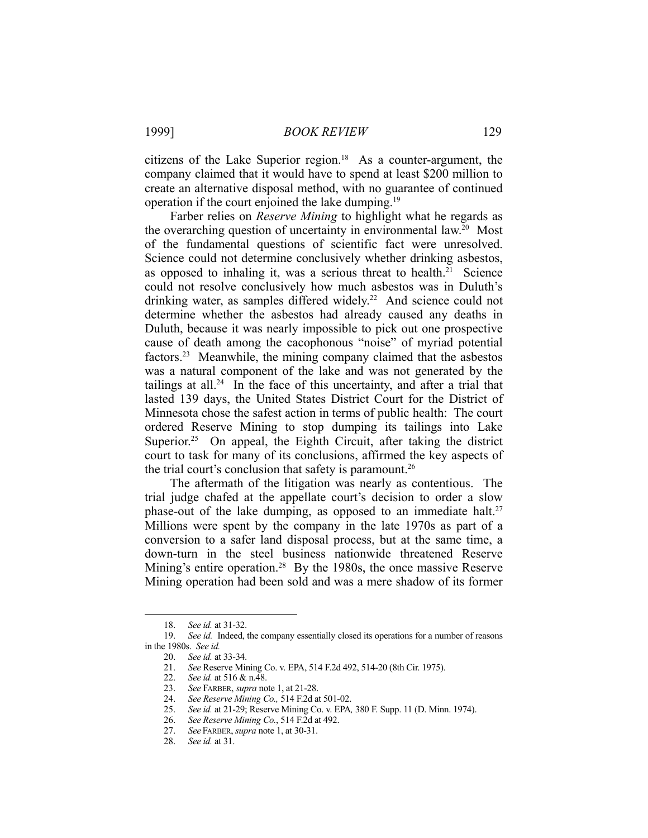1999] *BOOK REVIEW* 129

citizens of the Lake Superior region.<sup>18</sup> As a counter-argument, the company claimed that it would have to spend at least \$200 million to create an alternative disposal method, with no guarantee of continued operation if the court enjoined the lake dumping.19

 Farber relies on *Reserve Mining* to highlight what he regards as the overarching question of uncertainty in environmental law.<sup>20</sup> Most of the fundamental questions of scientific fact were unresolved. Science could not determine conclusively whether drinking asbestos, as opposed to inhaling it, was a serious threat to health.<sup>21</sup> Science could not resolve conclusively how much asbestos was in Duluth's drinking water, as samples differed widely.<sup>22</sup> And science could not determine whether the asbestos had already caused any deaths in Duluth, because it was nearly impossible to pick out one prospective cause of death among the cacophonous "noise" of myriad potential factors.23 Meanwhile, the mining company claimed that the asbestos was a natural component of the lake and was not generated by the tailings at all.<sup>24</sup> In the face of this uncertainty, and after a trial that lasted 139 days, the United States District Court for the District of Minnesota chose the safest action in terms of public health: The court ordered Reserve Mining to stop dumping its tailings into Lake Superior.<sup>25</sup> On appeal, the Eighth Circuit, after taking the district court to task for many of its conclusions, affirmed the key aspects of the trial court's conclusion that safety is paramount.<sup>26</sup>

 The aftermath of the litigation was nearly as contentious. The trial judge chafed at the appellate court's decision to order a slow phase-out of the lake dumping, as opposed to an immediate halt.<sup>27</sup> Millions were spent by the company in the late 1970s as part of a conversion to a safer land disposal process, but at the same time, a down-turn in the steel business nationwide threatened Reserve Mining's entire operation.28 By the 1980s, the once massive Reserve Mining operation had been sold and was a mere shadow of its former

 <sup>18.</sup> *See id.* at 31-32.

 <sup>19.</sup> *See id.* Indeed, the company essentially closed its operations for a number of reasons in the 1980s. *See id.*

 <sup>20.</sup> *See id.* at 33-34.

 <sup>21.</sup> *See* Reserve Mining Co. v. EPA, 514 F.2d 492, 514-20 (8th Cir. 1975).

 <sup>22.</sup> *See id.* at 516 & n.48.

 <sup>23.</sup> *See* FARBER, *supra* note 1, at 21-28.

 <sup>24.</sup> *See Reserve Mining Co.,* 514 F.2d at 501-02.

 <sup>25.</sup> *See id.* at 21-29; Reserve Mining Co. v. EPA*,* 380 F. Supp. 11 (D. Minn. 1974).

<sup>25.</sup> *See id.* at 21-29; Reserve Mining Co. v. El<br>26. *See Reserve Mining Co.*, 514 F.2d at 492.

 <sup>27.</sup> *See* FARBER, *supra* note 1, at 30-31.

 <sup>28.</sup> *See id.* at 31.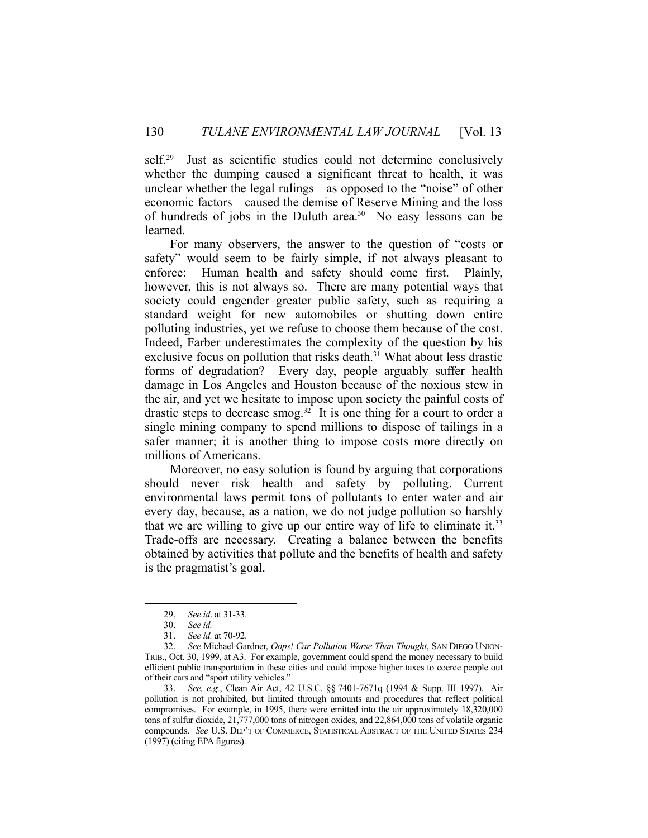self.<sup>29</sup> Just as scientific studies could not determine conclusively whether the dumping caused a significant threat to health, it was unclear whether the legal rulings—as opposed to the "noise" of other economic factors—caused the demise of Reserve Mining and the loss of hundreds of jobs in the Duluth area.<sup>30</sup> No easy lessons can be learned.

 For many observers, the answer to the question of "costs or safety" would seem to be fairly simple, if not always pleasant to enforce: Human health and safety should come first. Plainly, however, this is not always so. There are many potential ways that society could engender greater public safety, such as requiring a standard weight for new automobiles or shutting down entire polluting industries, yet we refuse to choose them because of the cost. Indeed, Farber underestimates the complexity of the question by his exclusive focus on pollution that risks death.<sup>31</sup> What about less drastic forms of degradation? Every day, people arguably suffer health damage in Los Angeles and Houston because of the noxious stew in the air, and yet we hesitate to impose upon society the painful costs of drastic steps to decrease smog.<sup>32</sup> It is one thing for a court to order a single mining company to spend millions to dispose of tailings in a safer manner; it is another thing to impose costs more directly on millions of Americans.

 Moreover, no easy solution is found by arguing that corporations should never risk health and safety by polluting. Current environmental laws permit tons of pollutants to enter water and air every day, because, as a nation, we do not judge pollution so harshly that we are willing to give up our entire way of life to eliminate it.<sup>33</sup> Trade-offs are necessary. Creating a balance between the benefits obtained by activities that pollute and the benefits of health and safety is the pragmatist's goal.

<u>.</u>

 <sup>29.</sup> *See id*. at 31-33.

 <sup>30.</sup> *See id.*

 <sup>31.</sup> *See id.* at 70-92.

 <sup>32.</sup> *See* Michael Gardner, *Oops! Car Pollution Worse Than Thought*, SAN DIEGO UNION-TRIB., Oct. 30, 1999, at A3. For example, government could spend the money necessary to build efficient public transportation in these cities and could impose higher taxes to coerce people out of their cars and "sport utility vehicles."

 <sup>33.</sup> *See, e.g.*, Clean Air Act, 42 U.S.C. §§ 7401-7671q (1994 & Supp. III 1997). Air pollution is not prohibited, but limited through amounts and procedures that reflect political compromises. For example, in 1995, there were emitted into the air approximately 18,320,000 tons of sulfur dioxide, 21,777,000 tons of nitrogen oxides, and 22,864,000 tons of volatile organic compounds. *See* U.S. DEP'T OF COMMERCE, STATISTICAL ABSTRACT OF THE UNITED STATES 234 (1997) (citing EPA figures).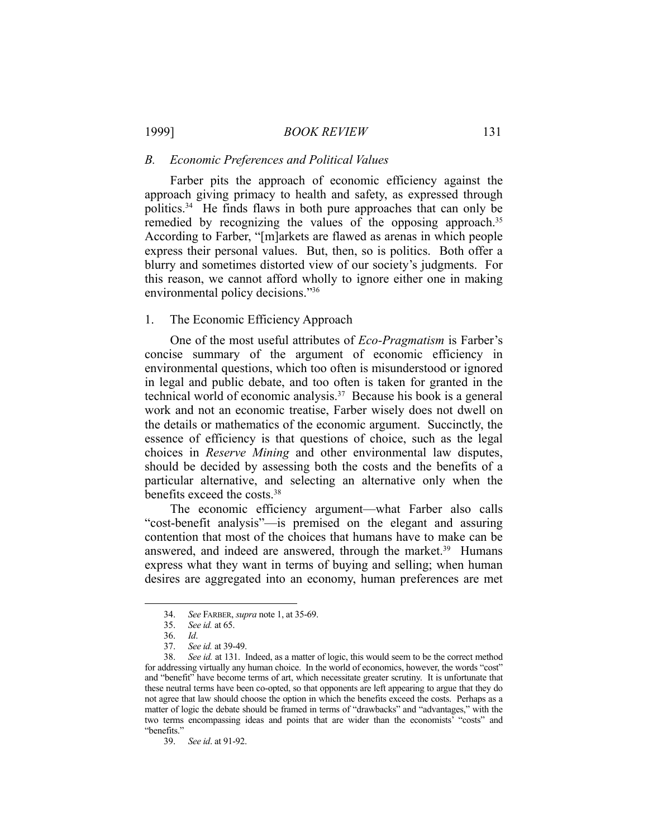1999] *BOOK REVIEW* 131

#### *B. Economic Preferences and Political Values*

 Farber pits the approach of economic efficiency against the approach giving primacy to health and safety, as expressed through politics.34 He finds flaws in both pure approaches that can only be remedied by recognizing the values of the opposing approach.<sup>35</sup> According to Farber, "[m]arkets are flawed as arenas in which people express their personal values. But, then, so is politics. Both offer a blurry and sometimes distorted view of our society's judgments. For this reason, we cannot afford wholly to ignore either one in making environmental policy decisions."36

# 1. The Economic Efficiency Approach

 One of the most useful attributes of *Eco-Pragmatism* is Farber's concise summary of the argument of economic efficiency in environmental questions, which too often is misunderstood or ignored in legal and public debate, and too often is taken for granted in the technical world of economic analysis.37 Because his book is a general work and not an economic treatise, Farber wisely does not dwell on the details or mathematics of the economic argument. Succinctly, the essence of efficiency is that questions of choice, such as the legal choices in *Reserve Mining* and other environmental law disputes, should be decided by assessing both the costs and the benefits of a particular alternative, and selecting an alternative only when the benefits exceed the costs.38

 The economic efficiency argument—what Farber also calls "cost-benefit analysis"—is premised on the elegant and assuring contention that most of the choices that humans have to make can be answered, and indeed are answered, through the market.<sup>39</sup> Humans express what they want in terms of buying and selling; when human desires are aggregated into an economy, human preferences are met

<u>.</u>

 <sup>34.</sup> *See* FARBER, *supra* note 1, at 35-69.

 <sup>35.</sup> *See id.* at 65.

 <sup>36.</sup> *Id*.

 <sup>37.</sup> *See id.* at 39-49.

 <sup>38.</sup> *See id.* at 131. Indeed, as a matter of logic, this would seem to be the correct method for addressing virtually any human choice. In the world of economics, however, the words "cost" and "benefit" have become terms of art, which necessitate greater scrutiny. It is unfortunate that these neutral terms have been co-opted, so that opponents are left appearing to argue that they do not agree that law should choose the option in which the benefits exceed the costs. Perhaps as a matter of logic the debate should be framed in terms of "drawbacks" and "advantages," with the two terms encompassing ideas and points that are wider than the economists' "costs" and "benefits."

 <sup>39.</sup> *See id*. at 91-92.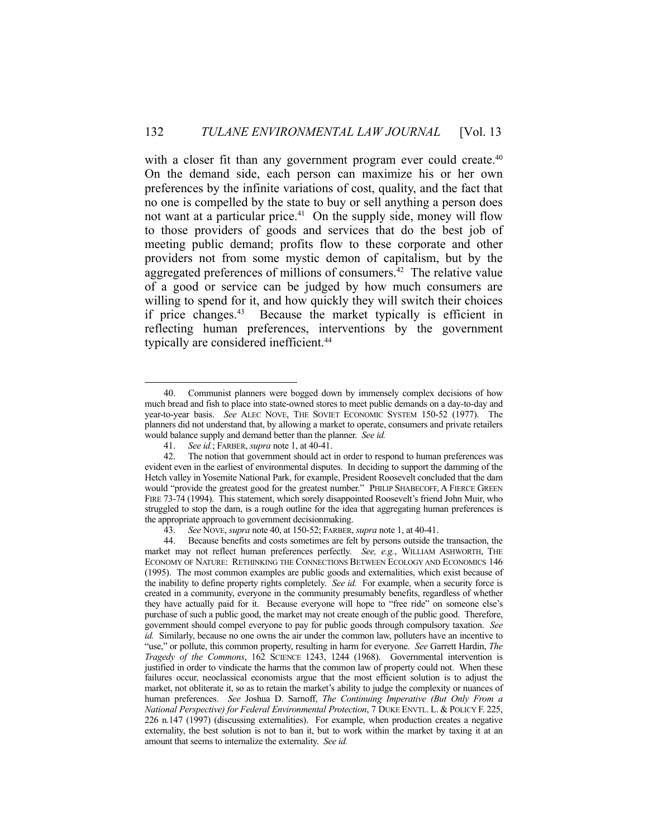with a closer fit than any government program ever could create.<sup>40</sup> On the demand side, each person can maximize his or her own preferences by the infinite variations of cost, quality, and the fact that no one is compelled by the state to buy or sell anything a person does not want at a particular price.<sup>41</sup> On the supply side, money will flow to those providers of goods and services that do the best job of meeting public demand; profits flow to these corporate and other providers not from some mystic demon of capitalism, but by the aggregated preferences of millions of consumers.<sup>42</sup> The relative value of a good or service can be judged by how much consumers are willing to spend for it, and how quickly they will switch their choices if price changes.43 Because the market typically is efficient in reflecting human preferences, interventions by the government typically are considered inefficient.<sup>44</sup>

 <sup>40.</sup> Communist planners were bogged down by immensely complex decisions of how much bread and fish to place into state-owned stores to meet public demands on a day-to-day and year-to-year basis. *See* ALEC NOVE, THE SOVIET ECONOMIC SYSTEM 150-52 (1977). The planners did not understand that, by allowing a market to operate, consumers and private retailers would balance supply and demand better than the planner. *See id.*

 <sup>41.</sup> *See id.*; FARBER, *supra* note 1, at 40-41.

 <sup>42.</sup> The notion that government should act in order to respond to human preferences was evident even in the earliest of environmental disputes. In deciding to support the damming of the Hetch valley in Yosemite National Park, for example, President Roosevelt concluded that the dam would "provide the greatest good for the greatest number." PHILIP SHABECOFF, A FIERCE GREEN FIRE 73-74 (1994). This statement, which sorely disappointed Roosevelt's friend John Muir, who struggled to stop the dam, is a rough outline for the idea that aggregating human preferences is the appropriate approach to government decisionmaking.

 <sup>43.</sup> *See* NOVE, *supra* note 40, at 150-52; FARBER, *supra* note 1, at 40-41.

 <sup>44.</sup> Because benefits and costs sometimes are felt by persons outside the transaction, the market may not reflect human preferences perfectly. *See, e.g.*, WILLIAM ASHWORTH, THE ECONOMY OF NATURE: RETHINKING THE CONNECTIONS BETWEEN ECOLOGY AND ECONOMICS 146 (1995). The most common examples are public goods and externalities, which exist because of the inability to define property rights completely. *See id.* For example, when a security force is created in a community, everyone in the community presumably benefits, regardless of whether they have actually paid for it. Because everyone will hope to "free ride" on someone else's purchase of such a public good, the market may not create enough of the public good. Therefore, government should compel everyone to pay for public goods through compulsory taxation. *See id.* Similarly, because no one owns the air under the common law, polluters have an incentive to "use," or pollute, this common property, resulting in harm for everyone. *See* Garrett Hardin, *The Tragedy of the Commons*, 162 SCIENCE 1243, 1244 (1968). Governmental intervention is justified in order to vindicate the harms that the common law of property could not. When these failures occur, neoclassical economists argue that the most efficient solution is to adjust the market, not obliterate it, so as to retain the market's ability to judge the complexity or nuances of human preferences. *See* Joshua D. Sarnoff, *The Continuing Imperative (But Only From a National Perspective) for Federal Environmental Protection*, 7 DUKE ENVTL. L. & POLICY F. 225, 226 n.147 (1997) (discussing externalities). For example, when production creates a negative externality, the best solution is not to ban it, but to work within the market by taxing it at an amount that seems to internalize the externality. *See id.*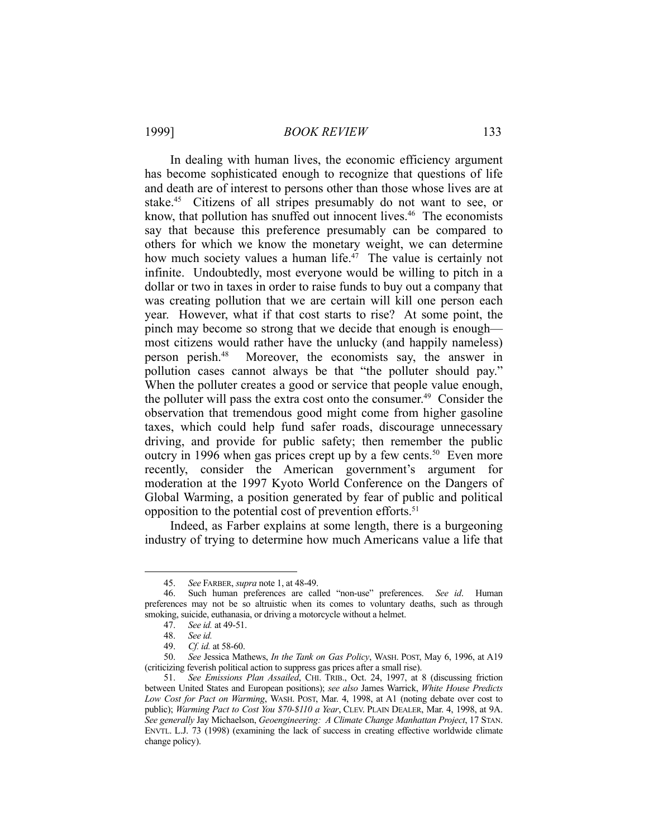In dealing with human lives, the economic efficiency argument has become sophisticated enough to recognize that questions of life and death are of interest to persons other than those whose lives are at stake.45 Citizens of all stripes presumably do not want to see, or know, that pollution has snuffed out innocent lives.<sup>46</sup> The economists say that because this preference presumably can be compared to others for which we know the monetary weight, we can determine how much society values a human life.<sup>47</sup> The value is certainly not infinite. Undoubtedly, most everyone would be willing to pitch in a dollar or two in taxes in order to raise funds to buy out a company that was creating pollution that we are certain will kill one person each year. However, what if that cost starts to rise? At some point, the pinch may become so strong that we decide that enough is enough most citizens would rather have the unlucky (and happily nameless) person perish.48 Moreover, the economists say, the answer in pollution cases cannot always be that "the polluter should pay." When the polluter creates a good or service that people value enough, the polluter will pass the extra cost onto the consumer.<sup>49</sup> Consider the observation that tremendous good might come from higher gasoline taxes, which could help fund safer roads, discourage unnecessary driving, and provide for public safety; then remember the public outcry in 1996 when gas prices crept up by a few cents.<sup>50</sup> Even more recently, consider the American government's argument for moderation at the 1997 Kyoto World Conference on the Dangers of Global Warming, a position generated by fear of public and political opposition to the potential cost of prevention efforts.<sup>51</sup>

 Indeed, as Farber explains at some length, there is a burgeoning industry of trying to determine how much Americans value a life that

 <sup>45.</sup> *See* FARBER, *supra* note 1, at 48-49.

 <sup>46.</sup> Such human preferences are called "non-use" preferences. *See id*. Human preferences may not be so altruistic when its comes to voluntary deaths, such as through smoking, suicide, euthanasia, or driving a motorcycle without a helmet.

 <sup>47.</sup> *See id.* at 49-51.

 <sup>48.</sup> *See id.*

 <sup>49.</sup> *Cf. id.* at 58-60.

 <sup>50.</sup> *See* Jessica Mathews, *In the Tank on Gas Policy*, WASH. POST, May 6, 1996, at A19 (criticizing feverish political action to suppress gas prices after a small rise).

 <sup>51.</sup> *See Emissions Plan Assailed*, CHI. TRIB., Oct. 24, 1997, at 8 (discussing friction between United States and European positions); *see also* James Warrick, *White House Predicts Low Cost for Pact on Warming*, WASH. POST, Mar. 4, 1998, at A1 (noting debate over cost to public); *Warming Pact to Cost You \$70-\$110 a Year*, CLEV. PLAIN DEALER, Mar. 4, 1998, at 9A. *See generally* Jay Michaelson, *Geoengineering: A Climate Change Manhattan Project*, 17 STAN. ENVTL. L.J. 73 (1998) (examining the lack of success in creating effective worldwide climate change policy).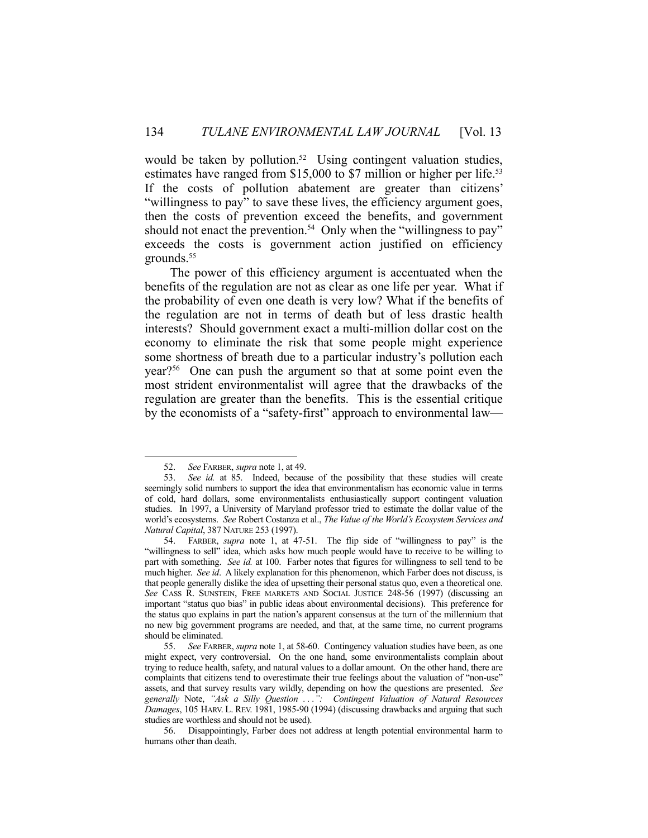would be taken by pollution.<sup>52</sup> Using contingent valuation studies, estimates have ranged from \$15,000 to \$7 million or higher per life.<sup>53</sup> If the costs of pollution abatement are greater than citizens' "willingness to pay" to save these lives, the efficiency argument goes, then the costs of prevention exceed the benefits, and government should not enact the prevention.<sup>54</sup> Only when the "willingness to pay" exceeds the costs is government action justified on efficiency grounds.<sup>55</sup>

 The power of this efficiency argument is accentuated when the benefits of the regulation are not as clear as one life per year. What if the probability of even one death is very low? What if the benefits of the regulation are not in terms of death but of less drastic health interests? Should government exact a multi-million dollar cost on the economy to eliminate the risk that some people might experience some shortness of breath due to a particular industry's pollution each year?56 One can push the argument so that at some point even the most strident environmentalist will agree that the drawbacks of the regulation are greater than the benefits. This is the essential critique by the economists of a "safety-first" approach to environmental law—

 <sup>52.</sup> *See* FARBER, *supra* note 1, at 49.

 <sup>53.</sup> *See id.* at 85. Indeed, because of the possibility that these studies will create seemingly solid numbers to support the idea that environmentalism has economic value in terms of cold, hard dollars, some environmentalists enthusiastically support contingent valuation studies. In 1997, a University of Maryland professor tried to estimate the dollar value of the world's ecosystems. *See* Robert Costanza et al., *The Value of the World's Ecosystem Services and Natural Capital*, 387 NATURE 253 (1997).

 <sup>54.</sup> FARBER, *supra* note 1, at 47-51. The flip side of "willingness to pay" is the "willingness to sell" idea, which asks how much people would have to receive to be willing to part with something. *See id.* at 100. Farber notes that figures for willingness to sell tend to be much higher. *See id*. A likely explanation for this phenomenon, which Farber does not discuss, is that people generally dislike the idea of upsetting their personal status quo, even a theoretical one. *See* CASS R. SUNSTEIN, FREE MARKETS AND SOCIAL JUSTICE 248-56 (1997) (discussing an important "status quo bias" in public ideas about environmental decisions). This preference for the status quo explains in part the nation's apparent consensus at the turn of the millennium that no new big government programs are needed, and that, at the same time, no current programs should be eliminated.

 <sup>55.</sup> *See* FARBER, *supra* note 1, at 58-60. Contingency valuation studies have been, as one might expect, very controversial. On the one hand, some environmentalists complain about trying to reduce health, safety, and natural values to a dollar amount. On the other hand, there are complaints that citizens tend to overestimate their true feelings about the valuation of "non-use" assets, and that survey results vary wildly, depending on how the questions are presented. *See generally* Note, *"Ask a Silly Question . . .": Contingent Valuation of Natural Resources Damages*, 105 HARV. L. REV. 1981, 1985-90 (1994) (discussing drawbacks and arguing that such studies are worthless and should not be used).

 <sup>56.</sup> Disappointingly, Farber does not address at length potential environmental harm to humans other than death.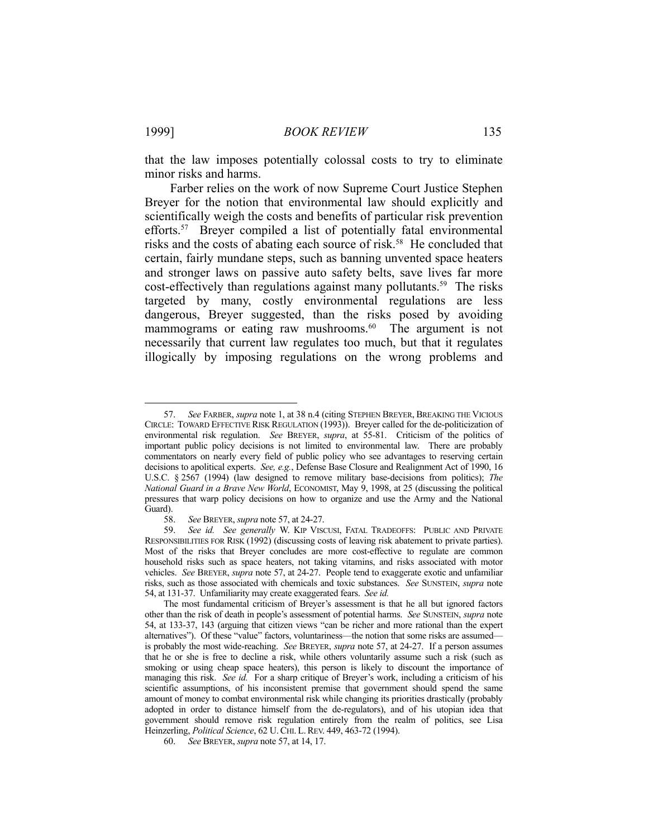that the law imposes potentially colossal costs to try to eliminate minor risks and harms.

 Farber relies on the work of now Supreme Court Justice Stephen Breyer for the notion that environmental law should explicitly and scientifically weigh the costs and benefits of particular risk prevention efforts.<sup>57</sup> Breyer compiled a list of potentially fatal environmental risks and the costs of abating each source of risk.<sup>58</sup> He concluded that certain, fairly mundane steps, such as banning unvented space heaters and stronger laws on passive auto safety belts, save lives far more cost-effectively than regulations against many pollutants.<sup>59</sup> The risks targeted by many, costly environmental regulations are less dangerous, Breyer suggested, than the risks posed by avoiding mammograms or eating raw mushrooms.<sup>60</sup> The argument is not necessarily that current law regulates too much, but that it regulates illogically by imposing regulations on the wrong problems and

<u>.</u>

 <sup>57.</sup> *See* FARBER, *supra* note 1, at 38 n.4 (citing STEPHEN BREYER, BREAKING THE VICIOUS CIRCLE: TOWARD EFFECTIVE RISK REGULATION (1993)). Breyer called for the de-politicization of environmental risk regulation. *See* BREYER, *supra*, at 55-81. Criticism of the politics of important public policy decisions is not limited to environmental law. There are probably commentators on nearly every field of public policy who see advantages to reserving certain decisions to apolitical experts. *See, e.g.*, Defense Base Closure and Realignment Act of 1990, 16 U.S.C. § 2567 (1994) (law designed to remove military base-decisions from politics); *The National Guard in a Brave New World*, ECONOMIST, May 9, 1998, at 25 (discussing the political pressures that warp policy decisions on how to organize and use the Army and the National Guard).

 <sup>58.</sup> *See* BREYER, *supra* note 57, at 24-27.

 <sup>59.</sup> *See id. See generally* W. KIP VISCUSI, FATAL TRADEOFFS: PUBLIC AND PRIVATE RESPONSIBILITIES FOR RISK (1992) (discussing costs of leaving risk abatement to private parties). Most of the risks that Breyer concludes are more cost-effective to regulate are common household risks such as space heaters, not taking vitamins, and risks associated with motor vehicles. *See* BREYER, *supra* note 57, at 24-27. People tend to exaggerate exotic and unfamiliar risks, such as those associated with chemicals and toxic substances. *See* SUNSTEIN, *supra* note 54, at 131-37. Unfamiliarity may create exaggerated fears. *See id.*

The most fundamental criticism of Breyer's assessment is that he all but ignored factors other than the risk of death in people's assessment of potential harms. *See* SUNSTEIN, *supra* note 54, at 133-37, 143 (arguing that citizen views "can be richer and more rational than the expert alternatives"). Of these "value" factors, voluntariness—the notion that some risks are assumed is probably the most wide-reaching. *See* BREYER, *supra* note 57, at 24-27. If a person assumes that he or she is free to decline a risk, while others voluntarily assume such a risk (such as smoking or using cheap space heaters), this person is likely to discount the importance of managing this risk. *See id.* For a sharp critique of Breyer's work, including a criticism of his scientific assumptions, of his inconsistent premise that government should spend the same amount of money to combat environmental risk while changing its priorities drastically (probably adopted in order to distance himself from the de-regulators), and of his utopian idea that government should remove risk regulation entirely from the realm of politics, see Lisa Heinzerling, *Political Science*, 62 U.CHI. L.REV. 449, 463-72 (1994).

 <sup>60.</sup> *See* BREYER, *supra* note 57, at 14, 17.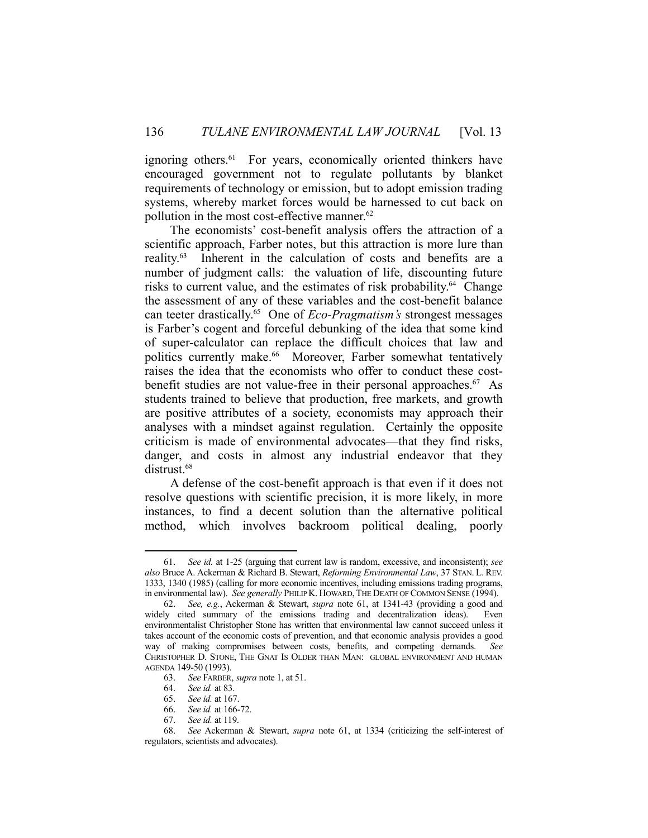ignoring others.<sup>61</sup> For years, economically oriented thinkers have encouraged government not to regulate pollutants by blanket requirements of technology or emission, but to adopt emission trading systems, whereby market forces would be harnessed to cut back on pollution in the most cost-effective manner.<sup>62</sup>

 The economists' cost-benefit analysis offers the attraction of a scientific approach, Farber notes, but this attraction is more lure than reality.63 Inherent in the calculation of costs and benefits are a number of judgment calls: the valuation of life, discounting future risks to current value, and the estimates of risk probability.<sup>64</sup> Change the assessment of any of these variables and the cost-benefit balance can teeter drastically.65 One of *Eco-Pragmatism's* strongest messages is Farber's cogent and forceful debunking of the idea that some kind of super-calculator can replace the difficult choices that law and politics currently make.<sup>66</sup> Moreover, Farber somewhat tentatively raises the idea that the economists who offer to conduct these costbenefit studies are not value-free in their personal approaches. 67 As students trained to believe that production, free markets, and growth are positive attributes of a society, economists may approach their analyses with a mindset against regulation. Certainly the opposite criticism is made of environmental advocates—that they find risks, danger, and costs in almost any industrial endeavor that they distrust.<sup>68</sup>

 A defense of the cost-benefit approach is that even if it does not resolve questions with scientific precision, it is more likely, in more instances, to find a decent solution than the alternative political method, which involves backroom political dealing, poorly

<u>.</u>

67. *See id.* at 119.

 <sup>61.</sup> *See id.* at 1-25 (arguing that current law is random, excessive, and inconsistent); *see also* Bruce A. Ackerman & Richard B. Stewart, *Reforming Environmental Law*, 37 STAN. L. REV. 1333, 1340 (1985) (calling for more economic incentives, including emissions trading programs, in environmental law). *See generally* PHILIP K. HOWARD,THE DEATH OF COMMON SENSE (1994).

 <sup>62.</sup> *See, e.g.*, Ackerman & Stewart, *supra* note 61, at 1341-43 (providing a good and widely cited summary of the emissions trading and decentralization ideas). Even environmentalist Christopher Stone has written that environmental law cannot succeed unless it takes account of the economic costs of prevention, and that economic analysis provides a good way of making compromises between costs, benefits, and competing demands. *See* CHRISTOPHER D. STONE, THE GNAT IS OLDER THAN MAN: GLOBAL ENVIRONMENT AND HUMAN AGENDA 149-50 (1993).

 <sup>63.</sup> *See* FARBER, *supra* note 1, at 51.

 <sup>64.</sup> *See id.* at 83.

 <sup>65.</sup> *See id.* at 167.

 <sup>66.</sup> *See id.* at 166-72.

 <sup>68.</sup> *See* Ackerman & Stewart, *supra* note 61, at 1334 (criticizing the self-interest of regulators, scientists and advocates).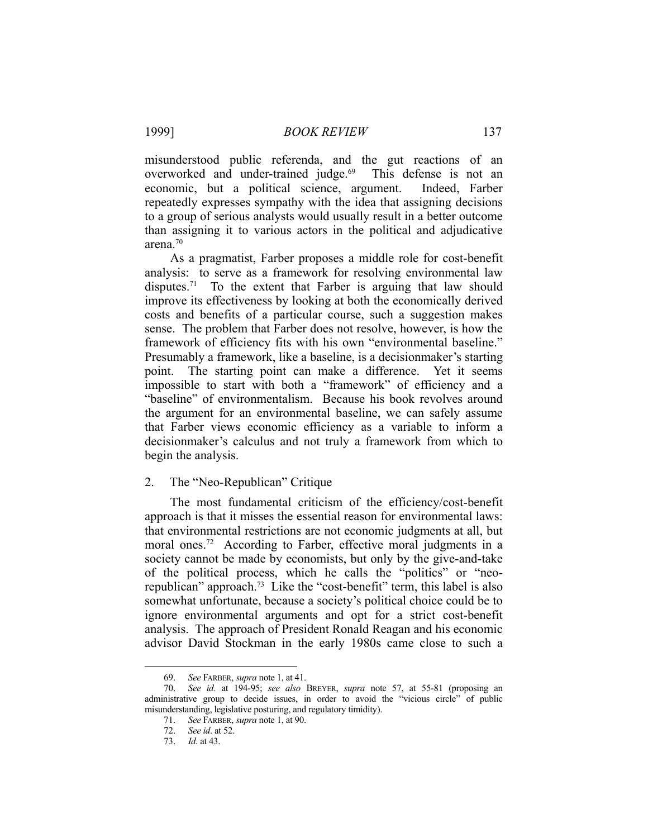misunderstood public referenda, and the gut reactions of an overworked and under-trained judge.<sup>69</sup> This defense is not an economic, but a political science, argument. Indeed, Farber repeatedly expresses sympathy with the idea that assigning decisions to a group of serious analysts would usually result in a better outcome than assigning it to various actors in the political and adjudicative arena.70

 As a pragmatist, Farber proposes a middle role for cost-benefit analysis: to serve as a framework for resolving environmental law disputes.<sup>71</sup> To the extent that Farber is arguing that law should improve its effectiveness by looking at both the economically derived costs and benefits of a particular course, such a suggestion makes sense. The problem that Farber does not resolve, however, is how the framework of efficiency fits with his own "environmental baseline." Presumably a framework, like a baseline, is a decisionmaker's starting point. The starting point can make a difference. Yet it seems impossible to start with both a "framework" of efficiency and a "baseline" of environmentalism. Because his book revolves around the argument for an environmental baseline, we can safely assume that Farber views economic efficiency as a variable to inform a decisionmaker's calculus and not truly a framework from which to begin the analysis.

# 2. The "Neo-Republican" Critique

 The most fundamental criticism of the efficiency/cost-benefit approach is that it misses the essential reason for environmental laws: that environmental restrictions are not economic judgments at all, but moral ones.<sup>72</sup> According to Farber, effective moral judgments in a society cannot be made by economists, but only by the give-and-take of the political process, which he calls the "politics" or "neorepublican" approach.73 Like the "cost-benefit" term, this label is also somewhat unfortunate, because a society's political choice could be to ignore environmental arguments and opt for a strict cost-benefit analysis. The approach of President Ronald Reagan and his economic advisor David Stockman in the early 1980s came close to such a

 <sup>69.</sup> *See* FARBER, *supra* note 1, at 41.

 <sup>70.</sup> *See id.* at 194-95; *see also* BREYER, *supra* note 57, at 55-81 (proposing an administrative group to decide issues, in order to avoid the "vicious circle" of public misunderstanding, legislative posturing, and regulatory timidity).

 <sup>71.</sup> *See* FARBER, *supra* note 1, at 90.

 <sup>72.</sup> *See id*. at 52.

 <sup>73.</sup> *Id.* at 43.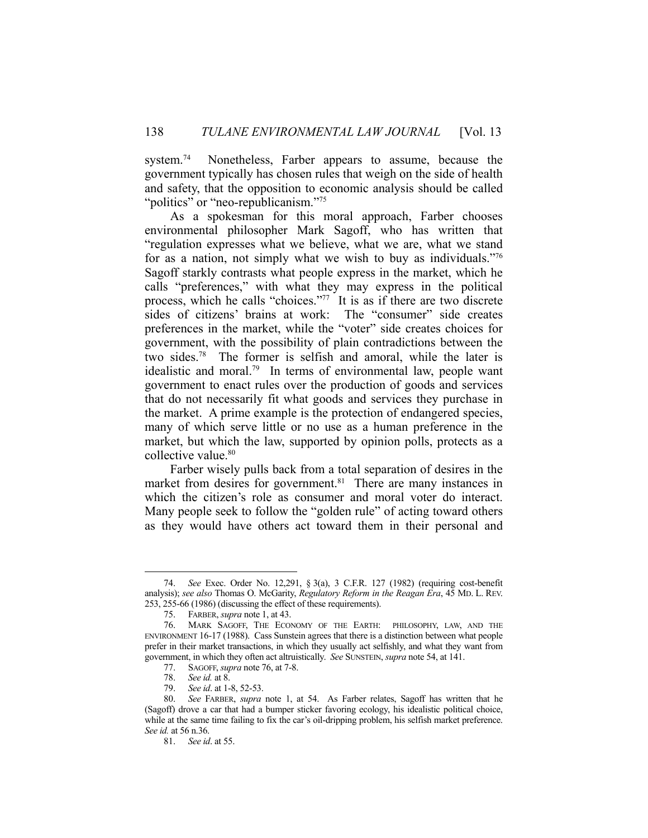system.<sup>74</sup> Nonetheless, Farber appears to assume, because the government typically has chosen rules that weigh on the side of health and safety, that the opposition to economic analysis should be called "politics" or "neo-republicanism."<sup>75</sup>

 As a spokesman for this moral approach, Farber chooses environmental philosopher Mark Sagoff, who has written that "regulation expresses what we believe, what we are, what we stand for as a nation, not simply what we wish to buy as individuals."76 Sagoff starkly contrasts what people express in the market, which he calls "preferences," with what they may express in the political process, which he calls "choices."77 It is as if there are two discrete sides of citizens' brains at work: The "consumer" side creates preferences in the market, while the "voter" side creates choices for government, with the possibility of plain contradictions between the two sides.78 The former is selfish and amoral, while the later is idealistic and moral.<sup>79</sup> In terms of environmental law, people want government to enact rules over the production of goods and services that do not necessarily fit what goods and services they purchase in the market. A prime example is the protection of endangered species, many of which serve little or no use as a human preference in the market, but which the law, supported by opinion polls, protects as a collective value.<sup>80</sup>

 Farber wisely pulls back from a total separation of desires in the market from desires for government.<sup>81</sup> There are many instances in which the citizen's role as consumer and moral voter do interact. Many people seek to follow the "golden rule" of acting toward others as they would have others act toward them in their personal and

 <sup>74.</sup> *See* Exec. Order No. 12,291, § 3(a), 3 C.F.R. 127 (1982) (requiring cost-benefit analysis); *see also* Thomas O. McGarity, *Regulatory Reform in the Reagan Era*, 45 MD. L. REV. 253, 255-66 (1986) (discussing the effect of these requirements).

 <sup>75.</sup> FARBER, *supra* note 1, at 43.

 <sup>76.</sup> MARK SAGOFF, THE ECONOMY OF THE EARTH: PHILOSOPHY, LAW, AND THE ENVIRONMENT 16-17 (1988). Cass Sunstein agrees that there is a distinction between what people prefer in their market transactions, in which they usually act selfishly, and what they want from government, in which they often act altruistically. *See* SUNSTEIN, *supra* note 54, at 141.

 <sup>77.</sup> SAGOFF, *supra* note 76, at 7-8.

 <sup>78.</sup> *See id.* at 8.

 <sup>79.</sup> *See id*. at 1-8, 52-53.

See FARBER, *supra* note 1, at 54. As Farber relates, Sagoff has written that he (Sagoff) drove a car that had a bumper sticker favoring ecology, his idealistic political choice, while at the same time failing to fix the car's oil-dripping problem, his selfish market preference. *See id.* at 56 n.36.

 <sup>81.</sup> *See id*. at 55.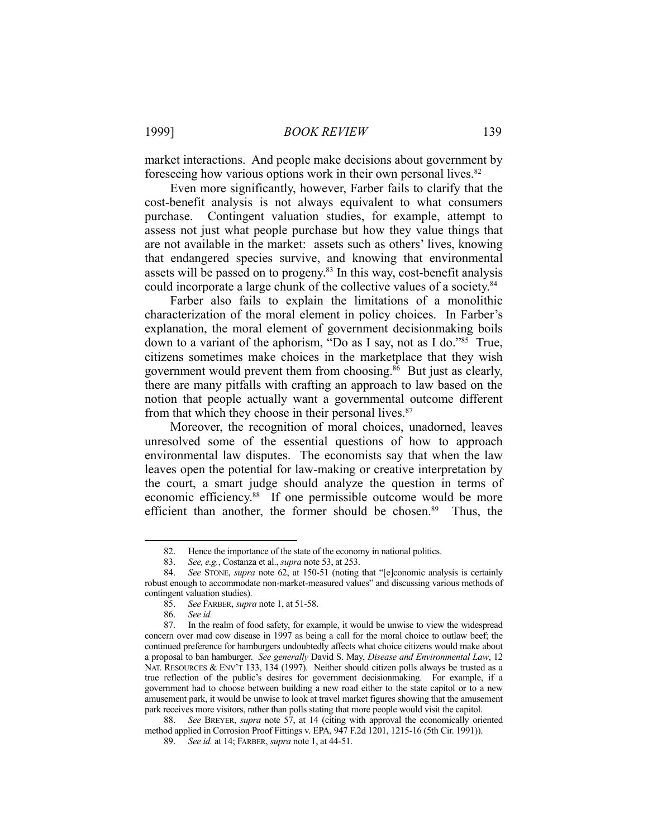1999] *BOOK REVIEW* 139

market interactions. And people make decisions about government by foreseeing how various options work in their own personal lives. 82

 Even more significantly, however, Farber fails to clarify that the cost-benefit analysis is not always equivalent to what consumers purchase. Contingent valuation studies, for example, attempt to assess not just what people purchase but how they value things that are not available in the market: assets such as others' lives, knowing that endangered species survive, and knowing that environmental assets will be passed on to progeny.<sup>83</sup> In this way, cost-benefit analysis could incorporate a large chunk of the collective values of a society.<sup>84</sup>

 Farber also fails to explain the limitations of a monolithic characterization of the moral element in policy choices. In Farber's explanation, the moral element of government decisionmaking boils down to a variant of the aphorism, "Do as I say, not as I do."85 True, citizens sometimes make choices in the marketplace that they wish government would prevent them from choosing. $86$  But just as clearly, there are many pitfalls with crafting an approach to law based on the notion that people actually want a governmental outcome different from that which they choose in their personal lives.<sup>87</sup>

 Moreover, the recognition of moral choices, unadorned, leaves unresolved some of the essential questions of how to approach environmental law disputes. The economists say that when the law leaves open the potential for law-making or creative interpretation by the court, a smart judge should analyze the question in terms of economic efficiency.<sup>88</sup> If one permissible outcome would be more efficient than another, the former should be chosen.<sup>89</sup> Thus, the

 <sup>82.</sup> Hence the importance of the state of the economy in national politics.

 <sup>83.</sup> *See, e.g.*, Costanza et al., *supra* note 53, at 253.

 <sup>84.</sup> *See* STONE, *supra* note 62, at 150-51 (noting that "[e]conomic analysis is certainly robust enough to accommodate non-market-measured values" and discussing various methods of contingent valuation studies).

 <sup>85.</sup> *See* FARBER, *supra* note 1, at 51-58.

 <sup>86.</sup> *See id.* 

 <sup>87.</sup> In the realm of food safety, for example, it would be unwise to view the widespread concern over mad cow disease in 1997 as being a call for the moral choice to outlaw beef; the continued preference for hamburgers undoubtedly affects what choice citizens would make about a proposal to ban hamburger. *See generally* David S. May, *Disease and Environmental Law*, 12 NAT. RESOURCES & ENV'T 133, 134 (1997). Neither should citizen polls always be trusted as a true reflection of the public's desires for government decisionmaking. For example, if a government had to choose between building a new road either to the state capitol or to a new amusement park, it would be unwise to look at travel market figures showing that the amusement park receives more visitors, rather than polls stating that more people would visit the capitol.

 <sup>88.</sup> *See* BREYER, *supra* note 57, at 14 (citing with approval the economically oriented method applied in Corrosion Proof Fittings v. EPA, 947 F.2d 1201, 1215-16 (5th Cir. 1991)).

 <sup>89.</sup> *See id.* at 14; FARBER, *supra* note 1, at 44-51.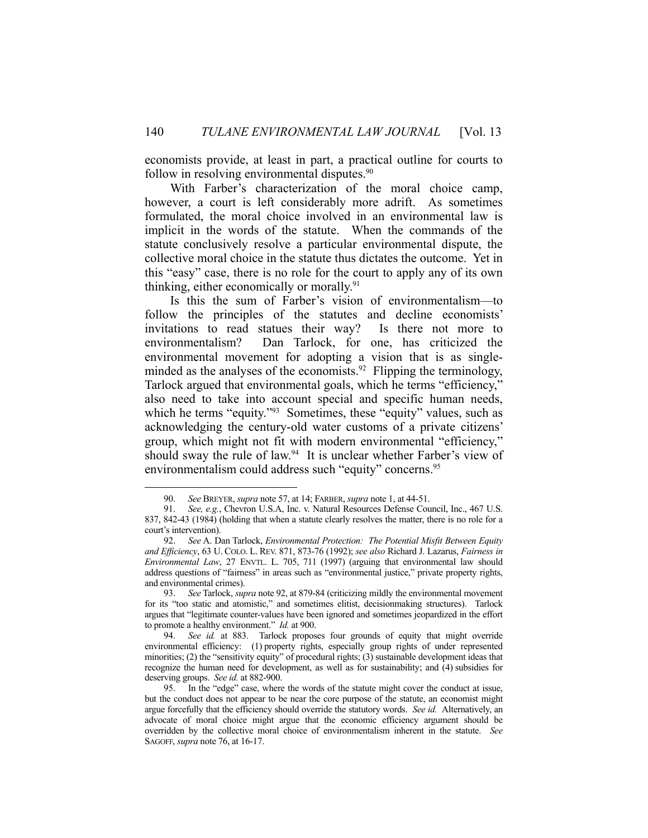economists provide, at least in part, a practical outline for courts to follow in resolving environmental disputes.<sup>90</sup>

 With Farber's characterization of the moral choice camp, however, a court is left considerably more adrift. As sometimes formulated, the moral choice involved in an environmental law is implicit in the words of the statute. When the commands of the statute conclusively resolve a particular environmental dispute, the collective moral choice in the statute thus dictates the outcome. Yet in this "easy" case, there is no role for the court to apply any of its own thinking, either economically or morally.91

 Is this the sum of Farber's vision of environmentalism—to follow the principles of the statutes and decline economists' invitations to read statues their way? Is there not more to environmentalism? Dan Tarlock, for one, has criticized the environmental movement for adopting a vision that is as singleminded as the analyses of the economists.<sup>92</sup> Flipping the terminology, Tarlock argued that environmental goals, which he terms "efficiency," also need to take into account special and specific human needs, which he terms "equity."<sup>93</sup> Sometimes, these "equity" values, such as acknowledging the century-old water customs of a private citizens' group, which might not fit with modern environmental "efficiency," should sway the rule of law.<sup>94</sup> It is unclear whether Farber's view of environmentalism could address such "equity" concerns.<sup>95</sup>

 <sup>90.</sup> *See* BREYER, *supra* note 57, at 14; FARBER, *supra* note 1, at 44-51.

 <sup>91.</sup> *See, e.g.*, Chevron U.S.A, Inc. v. Natural Resources Defense Council, Inc., 467 U.S. 837, 842-43 (1984) (holding that when a statute clearly resolves the matter, there is no role for a court's intervention).

 <sup>92.</sup> *See* A. Dan Tarlock, *Environmental Protection: The Potential Misfit Between Equity and Efficiency*, 63 U. COLO. L. REV. 871, 873-76 (1992); *see also* Richard J. Lazarus, *Fairness in Environmental Law*, 27 ENVTL. L. 705, 711 (1997) (arguing that environmental law should address questions of "fairness" in areas such as "environmental justice," private property rights, and environmental crimes).

 <sup>93.</sup> *See* Tarlock, *supra* note 92, at 879-84 (criticizing mildly the environmental movement for its "too static and atomistic," and sometimes elitist, decisionmaking structures). Tarlock argues that "legitimate counter-values have been ignored and sometimes jeopardized in the effort to promote a healthy environment." *Id.* at 900.

 <sup>94.</sup> *See id.* at 883. Tarlock proposes four grounds of equity that might override environmental efficiency: (1) property rights, especially group rights of under represented minorities; (2) the "sensitivity equity" of procedural rights; (3) sustainable development ideas that recognize the human need for development, as well as for sustainability; and (4) subsidies for

deserving groups. *See id.* at 882-900.<br>95. In the "edge" case, where In the "edge" case, where the words of the statute might cover the conduct at issue, but the conduct does not appear to be near the core purpose of the statute, an economist might argue forcefully that the efficiency should override the statutory words. *See id.* Alternatively, an advocate of moral choice might argue that the economic efficiency argument should be overridden by the collective moral choice of environmentalism inherent in the statute. *See* SAGOFF, *supra* note 76, at 16-17.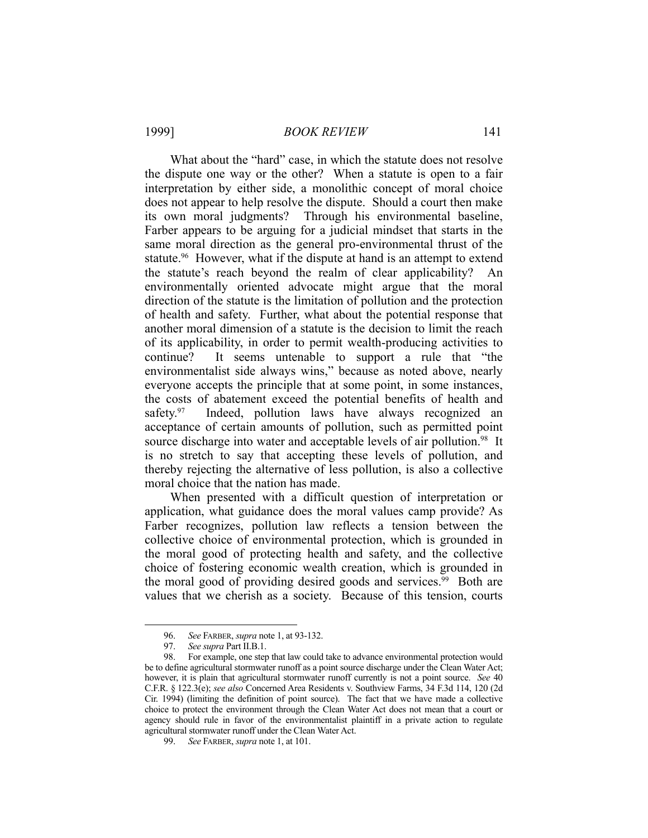What about the "hard" case, in which the statute does not resolve the dispute one way or the other? When a statute is open to a fair interpretation by either side, a monolithic concept of moral choice does not appear to help resolve the dispute. Should a court then make its own moral judgments? Through his environmental baseline, Farber appears to be arguing for a judicial mindset that starts in the same moral direction as the general pro-environmental thrust of the statute.<sup>96</sup> However, what if the dispute at hand is an attempt to extend the statute's reach beyond the realm of clear applicability? An environmentally oriented advocate might argue that the moral direction of the statute is the limitation of pollution and the protection of health and safety. Further, what about the potential response that another moral dimension of a statute is the decision to limit the reach of its applicability, in order to permit wealth-producing activities to continue? It seems untenable to support a rule that "the environmentalist side always wins," because as noted above, nearly everyone accepts the principle that at some point, in some instances, the costs of abatement exceed the potential benefits of health and safety.<sup>97</sup> Indeed, pollution laws have always recognized an acceptance of certain amounts of pollution, such as permitted point source discharge into water and acceptable levels of air pollution.<sup>98</sup> It is no stretch to say that accepting these levels of pollution, and thereby rejecting the alternative of less pollution, is also a collective moral choice that the nation has made.

 When presented with a difficult question of interpretation or application, what guidance does the moral values camp provide? As Farber recognizes, pollution law reflects a tension between the collective choice of environmental protection, which is grounded in the moral good of protecting health and safety, and the collective choice of fostering economic wealth creation, which is grounded in the moral good of providing desired goods and services.<sup>99</sup> Both are values that we cherish as a society. Because of this tension, courts

<u>.</u>

 <sup>96.</sup> *See* FARBER, *supra* note 1, at 93-132.

 <sup>97.</sup> *See supra* Part II.B.1.

 <sup>98.</sup> For example, one step that law could take to advance environmental protection would be to define agricultural stormwater runoff as a point source discharge under the Clean Water Act; however, it is plain that agricultural stormwater runoff currently is not a point source. *See* 40 C.F.R. § 122.3(e); *see also* Concerned Area Residents v. Southview Farms, 34 F.3d 114, 120 (2d Cir. 1994) (limiting the definition of point source). The fact that we have made a collective choice to protect the environment through the Clean Water Act does not mean that a court or agency should rule in favor of the environmentalist plaintiff in a private action to regulate agricultural stormwater runoff under the Clean Water Act.

 <sup>99.</sup> *See* FARBER, *supra* note 1, at 101.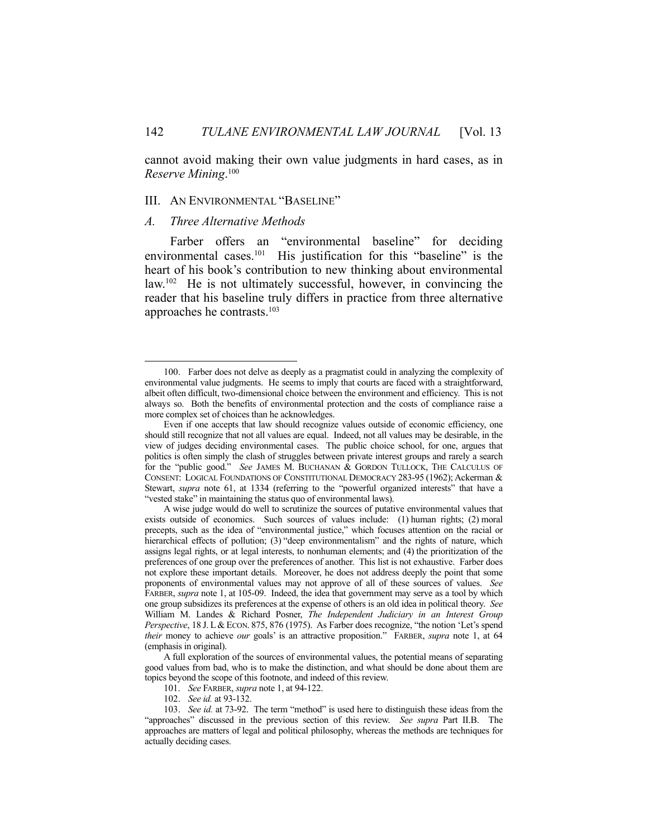cannot avoid making their own value judgments in hard cases, as in *Reserve Mining*. 100

# III. AN ENVIRONMENTAL "BASELINE"

#### *A. Three Alternative Methods*

1

 Farber offers an "environmental baseline" for deciding environmental cases.<sup>101</sup> His justification for this "baseline" is the heart of his book's contribution to new thinking about environmental law.102 He is not ultimately successful, however, in convincing the reader that his baseline truly differs in practice from three alternative approaches he contrasts.103

 <sup>100.</sup> Farber does not delve as deeply as a pragmatist could in analyzing the complexity of environmental value judgments. He seems to imply that courts are faced with a straightforward, albeit often difficult, two-dimensional choice between the environment and efficiency. This is not always so. Both the benefits of environmental protection and the costs of compliance raise a more complex set of choices than he acknowledges.

Even if one accepts that law should recognize values outside of economic efficiency, one should still recognize that not all values are equal. Indeed, not all values may be desirable, in the view of judges deciding environmental cases. The public choice school, for one, argues that politics is often simply the clash of struggles between private interest groups and rarely a search for the "public good." *See* JAMES M. BUCHANAN & GORDON TULLOCK, THE CALCULUS OF CONSENT: LOGICAL FOUNDATIONS OF CONSTITUTIONAL DEMOCRACY 283-95 (1962); Ackerman & Stewart, *supra* note 61, at 1334 (referring to the "powerful organized interests" that have a "vested stake" in maintaining the status quo of environmental laws).

A wise judge would do well to scrutinize the sources of putative environmental values that exists outside of economics. Such sources of values include: (1) human rights; (2) moral precepts, such as the idea of "environmental justice," which focuses attention on the racial or hierarchical effects of pollution; (3) "deep environmentalism" and the rights of nature, which assigns legal rights, or at legal interests, to nonhuman elements; and (4) the prioritization of the preferences of one group over the preferences of another. This list is not exhaustive. Farber does not explore these important details. Moreover, he does not address deeply the point that some proponents of environmental values may not approve of all of these sources of values. *See* FARBER, *supra* note 1, at 105-09. Indeed, the idea that government may serve as a tool by which one group subsidizes its preferences at the expense of others is an old idea in political theory. *See* William M. Landes & Richard Posner, *The Independent Judiciary in an Interest Group Perspective*, 18 J. L& ECON. 875, 876 (1975). As Farber does recognize, "the notion 'Let's spend *their* money to achieve *our* goals' is an attractive proposition." FARBER, *supra* note 1, at 64 (emphasis in original).

A full exploration of the sources of environmental values, the potential means of separating good values from bad, who is to make the distinction, and what should be done about them are topics beyond the scope of this footnote, and indeed of this review.

 <sup>101.</sup> *See* FARBER, *supra* note 1, at 94-122.

 <sup>102.</sup> *See id.* at 93-132.

 <sup>103.</sup> *See id.* at 73-92. The term "method" is used here to distinguish these ideas from the "approaches" discussed in the previous section of this review. *See supra* Part II.B. The approaches are matters of legal and political philosophy, whereas the methods are techniques for actually deciding cases.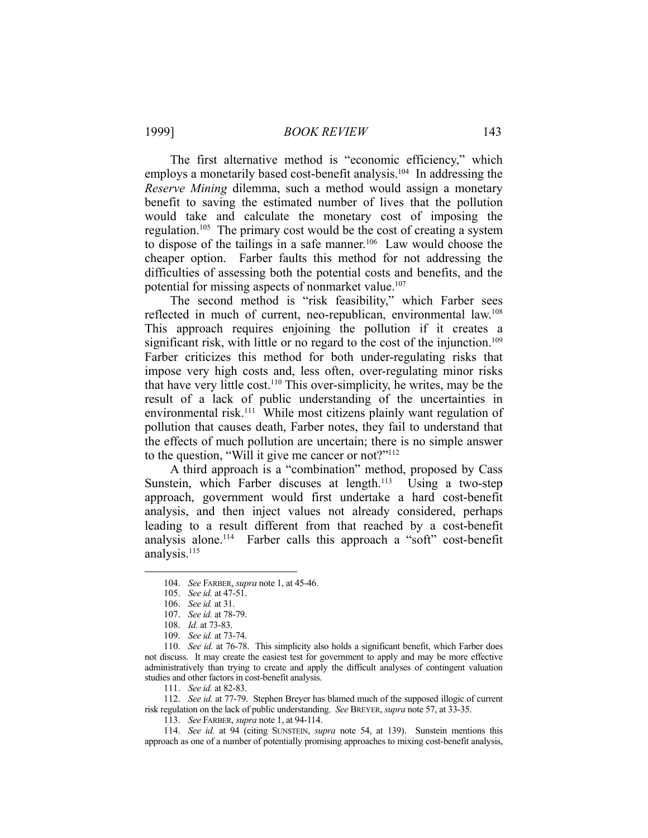1999] *BOOK REVIEW* 143

 The first alternative method is "economic efficiency," which employs a monetarily based cost-benefit analysis.<sup>104</sup> In addressing the *Reserve Mining* dilemma, such a method would assign a monetary benefit to saving the estimated number of lives that the pollution would take and calculate the monetary cost of imposing the regulation.<sup>105</sup> The primary cost would be the cost of creating a system to dispose of the tailings in a safe manner.<sup>106</sup> Law would choose the cheaper option. Farber faults this method for not addressing the difficulties of assessing both the potential costs and benefits, and the potential for missing aspects of nonmarket value.<sup>107</sup>

 The second method is "risk feasibility," which Farber sees reflected in much of current, neo-republican, environmental law.<sup>108</sup> This approach requires enjoining the pollution if it creates a significant risk, with little or no regard to the cost of the injunction.<sup>109</sup> Farber criticizes this method for both under-regulating risks that impose very high costs and, less often, over-regulating minor risks that have very little cost.110 This over-simplicity, he writes, may be the result of a lack of public understanding of the uncertainties in environmental risk.<sup>111</sup> While most citizens plainly want regulation of pollution that causes death, Farber notes, they fail to understand that the effects of much pollution are uncertain; there is no simple answer to the question, "Will it give me cancer or not?"<sup>112</sup>

 A third approach is a "combination" method, proposed by Cass Sunstein, which Farber discuses at length.<sup>113</sup> Using a two-step approach, government would first undertake a hard cost-benefit analysis, and then inject values not already considered, perhaps leading to a result different from that reached by a cost-benefit analysis alone.114 Farber calls this approach a "soft" cost-benefit analysis.<sup>115</sup>

1

 112. *See id.* at 77-79. Stephen Breyer has blamed much of the supposed illogic of current risk regulation on the lack of public understanding. *See* BREYER, *supra* note 57, at 33-35.

113. *See* FARBER, *supra* note 1, at 94-114.

 114. *See id.* at 94 (citing SUNSTEIN, *supra* note 54, at 139). Sunstein mentions this approach as one of a number of potentially promising approaches to mixing cost-benefit analysis,

 <sup>104.</sup> *See* FARBER, *supra* note 1, at 45-46.

 <sup>105.</sup> *See id.* at 47-51.

 <sup>106.</sup> *See id.* at 31.

 <sup>107.</sup> *See id.* at 78-79.

 <sup>108.</sup> *Id.* at 73-83.

 <sup>109.</sup> *See id.* at 73-74.

 <sup>110.</sup> *See id.* at 76-78. This simplicity also holds a significant benefit, which Farber does not discuss. It may create the easiest test for government to apply and may be more effective administratively than trying to create and apply the difficult analyses of contingent valuation studies and other factors in cost-benefit analysis.

 <sup>111.</sup> *See id.* at 82-83.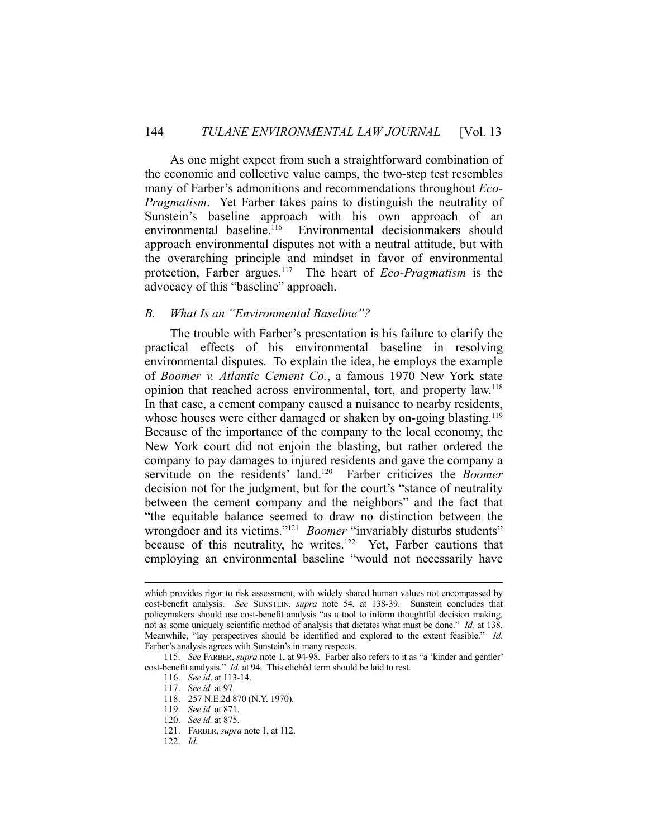As one might expect from such a straightforward combination of the economic and collective value camps, the two-step test resembles many of Farber's admonitions and recommendations throughout *Eco-Pragmatism*. Yet Farber takes pains to distinguish the neutrality of Sunstein's baseline approach with his own approach of an environmental baseline.116 Environmental decisionmakers should approach environmental disputes not with a neutral attitude, but with the overarching principle and mindset in favor of environmental protection, Farber argues.117 The heart of *Eco-Pragmatism* is the advocacy of this "baseline" approach.

# *B. What Is an "Environmental Baseline"?*

 The trouble with Farber's presentation is his failure to clarify the practical effects of his environmental baseline in resolving environmental disputes. To explain the idea, he employs the example of *Boomer v. Atlantic Cement Co.*, a famous 1970 New York state opinion that reached across environmental, tort, and property law.118 In that case, a cement company caused a nuisance to nearby residents, whose houses were either damaged or shaken by on-going blasting.<sup>119</sup> Because of the importance of the company to the local economy, the New York court did not enjoin the blasting, but rather ordered the company to pay damages to injured residents and gave the company a servitude on the residents' land.120 Farber criticizes the *Boomer* decision not for the judgment, but for the court's "stance of neutrality between the cement company and the neighbors" and the fact that "the equitable balance seemed to draw no distinction between the wrongdoer and its victims."<sup>121</sup> *Boomer* "invariably disturbs students" because of this neutrality, he writes.<sup>122</sup> Yet, Farber cautions that employing an environmental baseline "would not necessarily have

which provides rigor to risk assessment, with widely shared human values not encompassed by cost-benefit analysis. *See* SUNSTEIN, *supra* note 54, at 138-39. Sunstein concludes that policymakers should use cost-benefit analysis "as a tool to inform thoughtful decision making, not as some uniquely scientific method of analysis that dictates what must be done." *Id.* at 138. Meanwhile, "lay perspectives should be identified and explored to the extent feasible." *Id.* Farber's analysis agrees with Sunstein's in many respects.

 <sup>115.</sup> *See* FARBER, *supra* note 1, at 94-98. Farber also refers to it as "a 'kinder and gentler' cost-benefit analysis." *Id.* at 94. This clichéd term should be laid to rest.

 <sup>116.</sup> *See id*. at 113-14.

 <sup>117.</sup> *See id.* at 97.

 <sup>118. 257</sup> N.E.2d 870 (N.Y. 1970).

 <sup>119.</sup> *See id.* at 871.

 <sup>120.</sup> *See id.* at 875.

 <sup>121.</sup> FARBER, *supra* note 1, at 112.

 <sup>122.</sup> *Id.*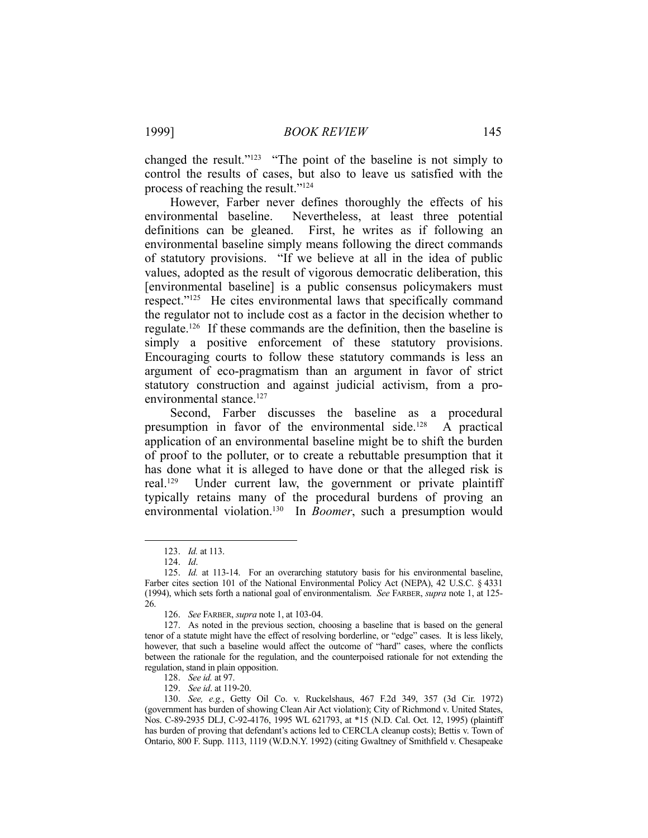changed the result."123 "The point of the baseline is not simply to control the results of cases, but also to leave us satisfied with the process of reaching the result."124

 However, Farber never defines thoroughly the effects of his environmental baseline. Nevertheless, at least three potential definitions can be gleaned. First, he writes as if following an environmental baseline simply means following the direct commands of statutory provisions. "If we believe at all in the idea of public values, adopted as the result of vigorous democratic deliberation, this [environmental baseline] is a public consensus policymakers must respect."125 He cites environmental laws that specifically command the regulator not to include cost as a factor in the decision whether to regulate.126 If these commands are the definition, then the baseline is simply a positive enforcement of these statutory provisions. Encouraging courts to follow these statutory commands is less an argument of eco-pragmatism than an argument in favor of strict statutory construction and against judicial activism, from a proenvironmental stance.<sup>127</sup>

 Second, Farber discusses the baseline as a procedural presumption in favor of the environmental side.<sup>128</sup> A practical application of an environmental baseline might be to shift the burden of proof to the polluter, or to create a rebuttable presumption that it has done what it is alleged to have done or that the alleged risk is real.129 Under current law, the government or private plaintiff typically retains many of the procedural burdens of proving an environmental violation.130 In *Boomer*, such a presumption would

 <sup>123.</sup> *Id.* at 113.

 <sup>124.</sup> *Id*.

 <sup>125.</sup> *Id.* at 113-14. For an overarching statutory basis for his environmental baseline, Farber cites section 101 of the National Environmental Policy Act (NEPA), 42 U.S.C. § 4331 (1994), which sets forth a national goal of environmentalism. *See* FARBER, *supra* note 1, at 125- 26.

 <sup>126.</sup> *See* FARBER, *supra* note 1, at 103-04.

 <sup>127.</sup> As noted in the previous section, choosing a baseline that is based on the general tenor of a statute might have the effect of resolving borderline, or "edge" cases. It is less likely, however, that such a baseline would affect the outcome of "hard" cases, where the conflicts between the rationale for the regulation, and the counterpoised rationale for not extending the regulation, stand in plain opposition.

 <sup>128.</sup> *See id.* at 97.

 <sup>129.</sup> *See id*. at 119-20.

 <sup>130.</sup> *See, e.g.*, Getty Oil Co. v. Ruckelshaus, 467 F.2d 349, 357 (3d Cir. 1972) (government has burden of showing Clean Air Act violation); City of Richmond v. United States, Nos. C-89-2935 DLJ, C-92-4176, 1995 WL 621793, at \*15 (N.D. Cal. Oct. 12, 1995) (plaintiff has burden of proving that defendant's actions led to CERCLA cleanup costs); Bettis v. Town of Ontario, 800 F. Supp. 1113, 1119 (W.D.N.Y. 1992) (citing Gwaltney of Smithfield v. Chesapeake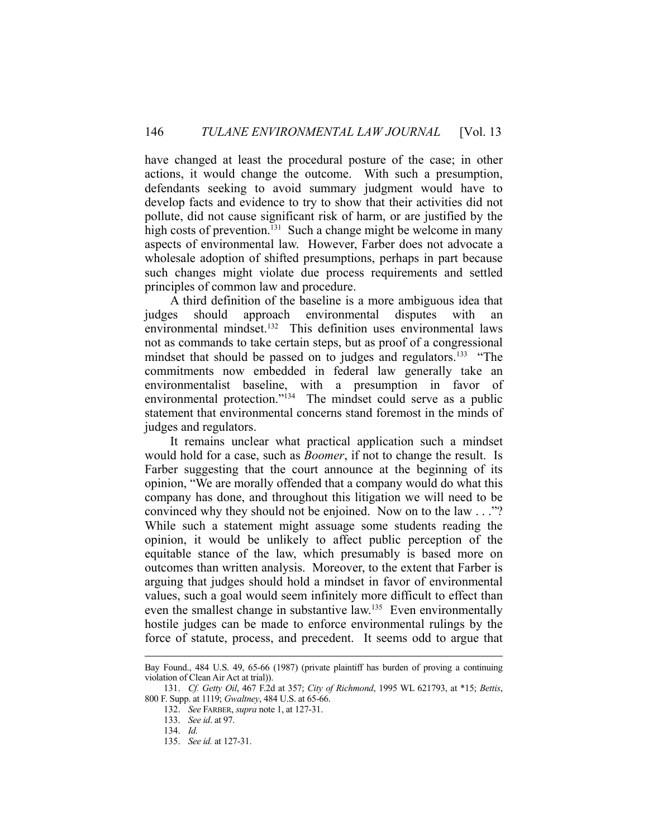have changed at least the procedural posture of the case; in other actions, it would change the outcome. With such a presumption, defendants seeking to avoid summary judgment would have to develop facts and evidence to try to show that their activities did not pollute, did not cause significant risk of harm, or are justified by the high costs of prevention.<sup>131</sup> Such a change might be welcome in many aspects of environmental law. However, Farber does not advocate a wholesale adoption of shifted presumptions, perhaps in part because such changes might violate due process requirements and settled principles of common law and procedure.

 A third definition of the baseline is a more ambiguous idea that judges should approach environmental disputes with an environmental mindset.<sup>132</sup> This definition uses environmental laws not as commands to take certain steps, but as proof of a congressional mindset that should be passed on to judges and regulators.<sup>133</sup> "The commitments now embedded in federal law generally take an environmentalist baseline, with a presumption in favor of environmental protection."134 The mindset could serve as a public statement that environmental concerns stand foremost in the minds of judges and regulators.

 It remains unclear what practical application such a mindset would hold for a case, such as *Boomer*, if not to change the result. Is Farber suggesting that the court announce at the beginning of its opinion, "We are morally offended that a company would do what this company has done, and throughout this litigation we will need to be convinced why they should not be enjoined. Now on to the law . . ."? While such a statement might assuage some students reading the opinion, it would be unlikely to affect public perception of the equitable stance of the law, which presumably is based more on outcomes than written analysis. Moreover, to the extent that Farber is arguing that judges should hold a mindset in favor of environmental values, such a goal would seem infinitely more difficult to effect than even the smallest change in substantive law.<sup>135</sup> Even environmentally hostile judges can be made to enforce environmental rulings by the force of statute, process, and precedent. It seems odd to argue that

Bay Found., 484 U.S. 49, 65-66 (1987) (private plaintiff has burden of proving a continuing violation of Clean Air Act at trial)).

 <sup>131.</sup> *Cf. Getty Oil*, 467 F.2d at 357; *City of Richmond*, 1995 WL 621793, at \*15; *Bettis*, 800 F. Supp. at 1119; *Gwaltney*, 484 U.S. at 65-66.

 <sup>132.</sup> *See* FARBER, *supra* note 1, at 127-31.

 <sup>133.</sup> *See id*. at 97.

 <sup>134.</sup> *Id.*

 <sup>135.</sup> *See id.* at 127-31.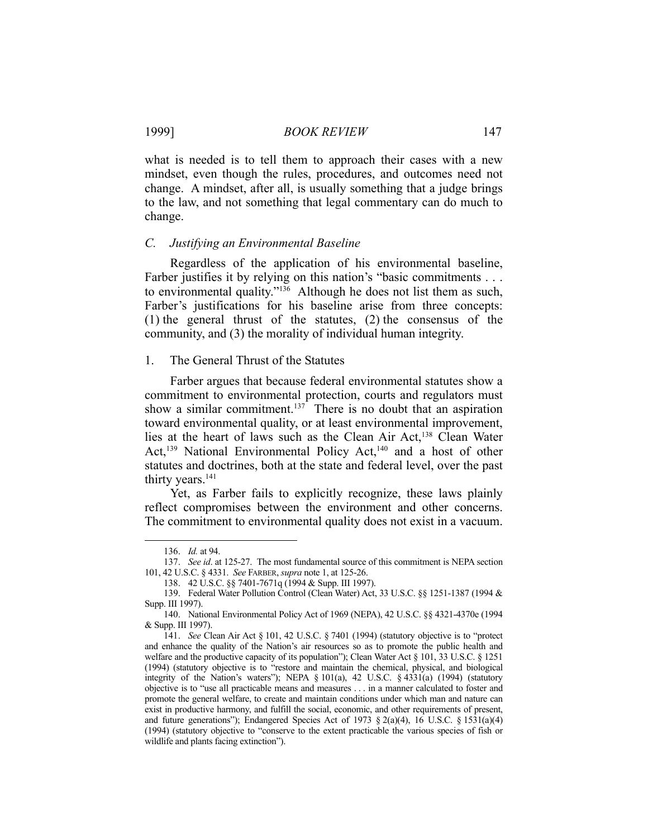what is needed is to tell them to approach their cases with a new mindset, even though the rules, procedures, and outcomes need not change. A mindset, after all, is usually something that a judge brings to the law, and not something that legal commentary can do much to change.

#### *C. Justifying an Environmental Baseline*

 Regardless of the application of his environmental baseline, Farber justifies it by relying on this nation's "basic commitments . . . to environmental quality."136 Although he does not list them as such, Farber's justifications for his baseline arise from three concepts: (1) the general thrust of the statutes, (2) the consensus of the community, and (3) the morality of individual human integrity.

# 1. The General Thrust of the Statutes

 Farber argues that because federal environmental statutes show a commitment to environmental protection, courts and regulators must show a similar commitment.<sup>137</sup> There is no doubt that an aspiration toward environmental quality, or at least environmental improvement, lies at the heart of laws such as the Clean Air Act,<sup>138</sup> Clean Water Act,<sup>139</sup> National Environmental Policy Act,<sup>140</sup> and a host of other statutes and doctrines, both at the state and federal level, over the past thirty years.<sup>141</sup>

 Yet, as Farber fails to explicitly recognize, these laws plainly reflect compromises between the environment and other concerns. The commitment to environmental quality does not exist in a vacuum.

 <sup>136.</sup> *Id.* at 94.

 <sup>137.</sup> *See id*. at 125-27. The most fundamental source of this commitment is NEPA section 101, 42 U.S.C. § 4331. *See* FARBER, *supra* note 1, at 125-26.

 <sup>138. 42</sup> U.S.C. §§ 7401-7671q (1994 & Supp. III 1997).

 <sup>139.</sup> Federal Water Pollution Control (Clean Water) Act, 33 U.S.C. §§ 1251-1387 (1994 & Supp. III 1997).

 <sup>140.</sup> National Environmental Policy Act of 1969 (NEPA), 42 U.S.C. §§ 4321-4370e (1994 & Supp. III 1997).

 <sup>141.</sup> *See* Clean Air Act § 101, 42 U.S.C. § 7401 (1994) (statutory objective is to "protect and enhance the quality of the Nation's air resources so as to promote the public health and welfare and the productive capacity of its population"); Clean Water Act § 101, 33 U.S.C. § 1251 (1994) (statutory objective is to "restore and maintain the chemical, physical, and biological integrity of the Nation's waters"); NEPA § 101(a), 42 U.S.C. § 4331(a) (1994) (statutory objective is to "use all practicable means and measures . . . in a manner calculated to foster and promote the general welfare, to create and maintain conditions under which man and nature can exist in productive harmony, and fulfill the social, economic, and other requirements of present, and future generations"); Endangered Species Act of 1973  $\S$  2(a)(4), 16 U.S.C.  $\S$  1531(a)(4) (1994) (statutory objective to "conserve to the extent practicable the various species of fish or wildlife and plants facing extinction").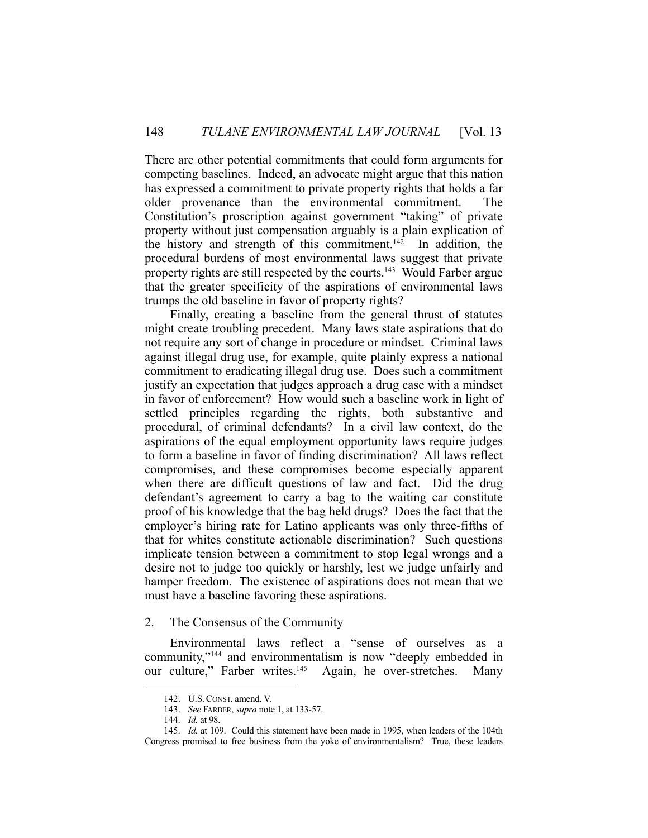There are other potential commitments that could form arguments for competing baselines. Indeed, an advocate might argue that this nation has expressed a commitment to private property rights that holds a far older provenance than the environmental commitment. The Constitution's proscription against government "taking" of private property without just compensation arguably is a plain explication of the history and strength of this commitment.<sup>142</sup> In addition, the procedural burdens of most environmental laws suggest that private property rights are still respected by the courts.<sup>143</sup> Would Farber argue that the greater specificity of the aspirations of environmental laws trumps the old baseline in favor of property rights?

 Finally, creating a baseline from the general thrust of statutes might create troubling precedent. Many laws state aspirations that do not require any sort of change in procedure or mindset. Criminal laws against illegal drug use, for example, quite plainly express a national commitment to eradicating illegal drug use. Does such a commitment justify an expectation that judges approach a drug case with a mindset in favor of enforcement? How would such a baseline work in light of settled principles regarding the rights, both substantive and procedural, of criminal defendants? In a civil law context, do the aspirations of the equal employment opportunity laws require judges to form a baseline in favor of finding discrimination? All laws reflect compromises, and these compromises become especially apparent when there are difficult questions of law and fact. Did the drug defendant's agreement to carry a bag to the waiting car constitute proof of his knowledge that the bag held drugs? Does the fact that the employer's hiring rate for Latino applicants was only three-fifths of that for whites constitute actionable discrimination? Such questions implicate tension between a commitment to stop legal wrongs and a desire not to judge too quickly or harshly, lest we judge unfairly and hamper freedom. The existence of aspirations does not mean that we must have a baseline favoring these aspirations.

# 2. The Consensus of the Community

 Environmental laws reflect a "sense of ourselves as a community,"144 and environmentalism is now "deeply embedded in our culture," Farber writes.<sup>145</sup> Again, he over-stretches. Many

 <sup>142.</sup> U.S.CONST. amend. V.

 <sup>143.</sup> *See* FARBER, *supra* note 1, at 133-57.

 <sup>144.</sup> *Id.* at 98.

 <sup>145.</sup> *Id.* at 109. Could this statement have been made in 1995, when leaders of the 104th Congress promised to free business from the yoke of environmentalism? True, these leaders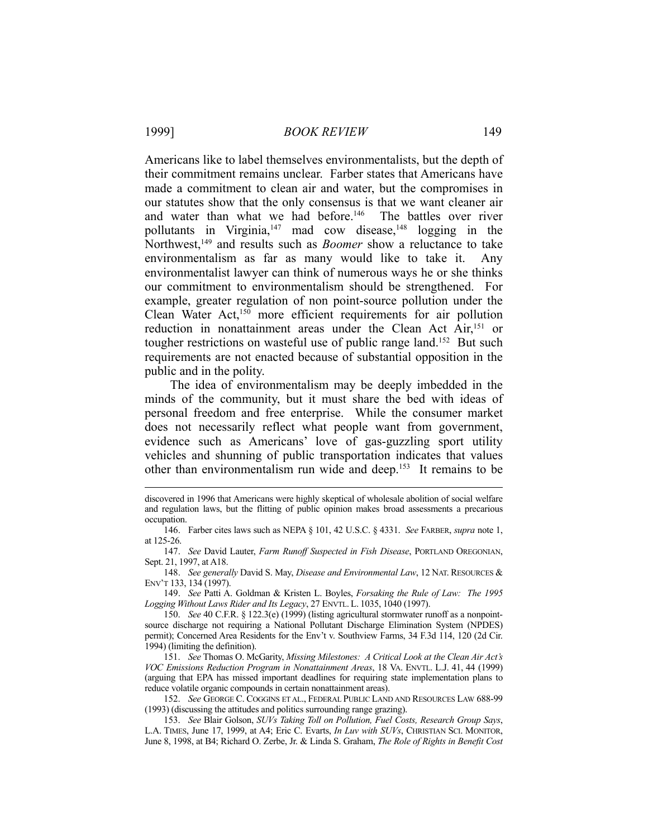Americans like to label themselves environmentalists, but the depth of their commitment remains unclear. Farber states that Americans have made a commitment to clean air and water, but the compromises in our statutes show that the only consensus is that we want cleaner air and water than what we had before.<sup>146</sup> The battles over river pollutants in Virginia, $147$  mad cow disease, $148$  logging in the Northwest,<sup>149</sup> and results such as *Boomer* show a reluctance to take environmentalism as far as many would like to take it. Any environmentalist lawyer can think of numerous ways he or she thinks our commitment to environmentalism should be strengthened. For example, greater regulation of non point-source pollution under the Clean Water Act,150 more efficient requirements for air pollution reduction in nonattainment areas under the Clean Act Air,<sup>151</sup> or tougher restrictions on wasteful use of public range land.<sup>152</sup> But such requirements are not enacted because of substantial opposition in the public and in the polity.

 The idea of environmentalism may be deeply imbedded in the minds of the community, but it must share the bed with ideas of personal freedom and free enterprise. While the consumer market does not necessarily reflect what people want from government, evidence such as Americans' love of gas-guzzling sport utility vehicles and shunning of public transportation indicates that values other than environmentalism run wide and deep.153 It remains to be

 148. *See generally* David S. May, *Disease and Environmental Law*, 12 NAT. RESOURCES & ENV'T 133, 134 (1997).

 149. *See* Patti A. Goldman & Kristen L. Boyles, *Forsaking the Rule of Law: The 1995 Logging Without Laws Rider and Its Legacy*, 27 ENVTL. L. 1035, 1040 (1997).

 151. *See* Thomas O. McGarity, *Missing Milestones: A Critical Look at the Clean Air Act's VOC Emissions Reduction Program in Nonattainment Areas*, 18 VA. ENVTL. L.J. 41, 44 (1999) (arguing that EPA has missed important deadlines for requiring state implementation plans to reduce volatile organic compounds in certain nonattainment areas).

 152. *See* GEORGE C. COGGINS ET AL., FEDERAL PUBLIC LAND AND RESOURCES LAW 688-99 (1993) (discussing the attitudes and politics surrounding range grazing).

 153. *See* Blair Golson, *SUVs Taking Toll on Pollution, Fuel Costs, Research Group Says*, L.A. TIMES, June 17, 1999, at A4; Eric C. Evarts, *In Luv with SUVs*, CHRISTIAN SCI. MONITOR, June 8, 1998, at B4; Richard O. Zerbe, Jr. & Linda S. Graham, *The Role of Rights in Benefit Cost* 

discovered in 1996 that Americans were highly skeptical of wholesale abolition of social welfare and regulation laws, but the flitting of public opinion makes broad assessments a precarious occupation.

 <sup>146.</sup> Farber cites laws such as NEPA § 101, 42 U.S.C. § 4331. *See* FARBER, *supra* note 1, at 125-26.

 <sup>147.</sup> *See* David Lauter, *Farm Runoff Suspected in Fish Disease*, PORTLAND OREGONIAN, Sept. 21, 1997, at A18.

 <sup>150.</sup> *See* 40 C.F.R. § 122.3(e) (1999) (listing agricultural stormwater runoff as a nonpointsource discharge not requiring a National Pollutant Discharge Elimination System (NPDES) permit); Concerned Area Residents for the Env't v. Southview Farms, 34 F.3d 114, 120 (2d Cir. 1994) (limiting the definition).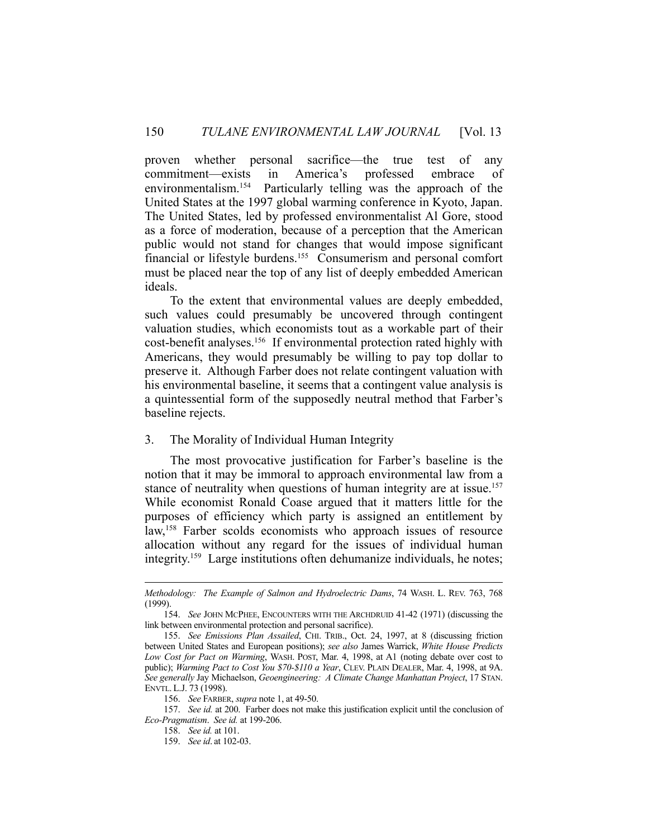proven whether personal sacrifice—the true test of any commitment—exists in America's professed embrace of environmentalism.154 Particularly telling was the approach of the United States at the 1997 global warming conference in Kyoto, Japan. The United States, led by professed environmentalist Al Gore, stood as a force of moderation, because of a perception that the American public would not stand for changes that would impose significant financial or lifestyle burdens.155 Consumerism and personal comfort must be placed near the top of any list of deeply embedded American ideals.

 To the extent that environmental values are deeply embedded, such values could presumably be uncovered through contingent valuation studies, which economists tout as a workable part of their cost-benefit analyses.156 If environmental protection rated highly with Americans, they would presumably be willing to pay top dollar to preserve it. Although Farber does not relate contingent valuation with his environmental baseline, it seems that a contingent value analysis is a quintessential form of the supposedly neutral method that Farber's baseline rejects.

# 3. The Morality of Individual Human Integrity

 The most provocative justification for Farber's baseline is the notion that it may be immoral to approach environmental law from a stance of neutrality when questions of human integrity are at issue.<sup>157</sup> While economist Ronald Coase argued that it matters little for the purposes of efficiency which party is assigned an entitlement by law,<sup>158</sup> Farber scolds economists who approach issues of resource allocation without any regard for the issues of individual human integrity.159 Large institutions often dehumanize individuals, he notes;

*Methodology: The Example of Salmon and Hydroelectric Dams*, 74 WASH. L. REV. 763, 768 (1999).

 <sup>154.</sup> *See* JOHN MCPHEE, ENCOUNTERS WITH THE ARCHDRUID 41-42 (1971) (discussing the link between environmental protection and personal sacrifice).

 <sup>155.</sup> *See Emissions Plan Assailed*, CHI. TRIB., Oct. 24, 1997, at 8 (discussing friction between United States and European positions); *see also* James Warrick, *White House Predicts Low Cost for Pact on Warming*, WASH. POST, Mar. 4, 1998, at A1 (noting debate over cost to public); *Warming Pact to Cost You \$70-\$110 a Year*, CLEV. PLAIN DEALER, Mar. 4, 1998, at 9A. *See generally* Jay Michaelson, *Geoengineering: A Climate Change Manhattan Project*, 17 STAN. ENVTL. L.J. 73 (1998).

 <sup>156.</sup> *See* FARBER, *supra* note 1, at 49-50.

 <sup>157.</sup> *See id.* at 200. Farber does not make this justification explicit until the conclusion of *Eco-Pragmatism*. *See id.* at 199-206.

 <sup>158.</sup> *See id.* at 101.

 <sup>159.</sup> *See id*. at 102-03.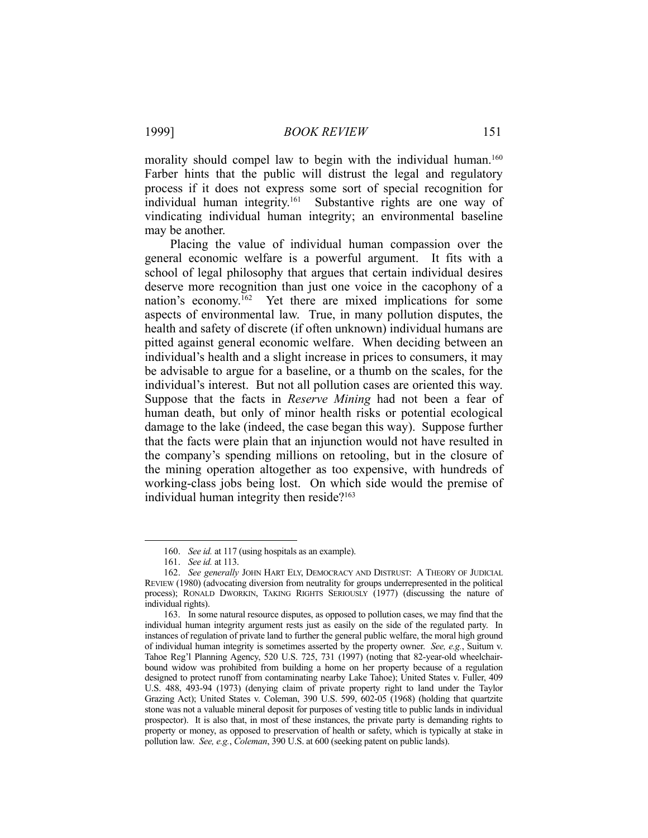1999] *BOOK REVIEW* 151

morality should compel law to begin with the individual human.<sup>160</sup> Farber hints that the public will distrust the legal and regulatory process if it does not express some sort of special recognition for individual human integrity.161 Substantive rights are one way of vindicating individual human integrity; an environmental baseline may be another.

 Placing the value of individual human compassion over the general economic welfare is a powerful argument. It fits with a school of legal philosophy that argues that certain individual desires deserve more recognition than just one voice in the cacophony of a nation's economy.162 Yet there are mixed implications for some aspects of environmental law. True, in many pollution disputes, the health and safety of discrete (if often unknown) individual humans are pitted against general economic welfare. When deciding between an individual's health and a slight increase in prices to consumers, it may be advisable to argue for a baseline, or a thumb on the scales, for the individual's interest. But not all pollution cases are oriented this way. Suppose that the facts in *Reserve Mining* had not been a fear of human death, but only of minor health risks or potential ecological damage to the lake (indeed, the case began this way). Suppose further that the facts were plain that an injunction would not have resulted in the company's spending millions on retooling, but in the closure of the mining operation altogether as too expensive, with hundreds of working-class jobs being lost. On which side would the premise of individual human integrity then reside?<sup>163</sup>

 <sup>160.</sup> *See id.* at 117 (using hospitals as an example).

 <sup>161.</sup> *See id.* at 113.

 <sup>162.</sup> *See generally* JOHN HART ELY, DEMOCRACY AND DISTRUST: A THEORY OF JUDICIAL REVIEW (1980) (advocating diversion from neutrality for groups underrepresented in the political process); RONALD DWORKIN, TAKING RIGHTS SERIOUSLY (1977) (discussing the nature of individual rights).

 <sup>163.</sup> In some natural resource disputes, as opposed to pollution cases, we may find that the individual human integrity argument rests just as easily on the side of the regulated party. In instances of regulation of private land to further the general public welfare, the moral high ground of individual human integrity is sometimes asserted by the property owner. *See, e.g.*, Suitum v. Tahoe Reg'l Planning Agency, 520 U.S. 725, 731 (1997) (noting that 82-year-old wheelchairbound widow was prohibited from building a home on her property because of a regulation designed to protect runoff from contaminating nearby Lake Tahoe); United States v. Fuller, 409 U.S. 488, 493-94 (1973) (denying claim of private property right to land under the Taylor Grazing Act); United States v. Coleman, 390 U.S. 599, 602-05 (1968) (holding that quartzite stone was not a valuable mineral deposit for purposes of vesting title to public lands in individual prospector). It is also that, in most of these instances, the private party is demanding rights to property or money, as opposed to preservation of health or safety, which is typically at stake in pollution law. *See, e.g.*, *Coleman*, 390 U.S. at 600 (seeking patent on public lands).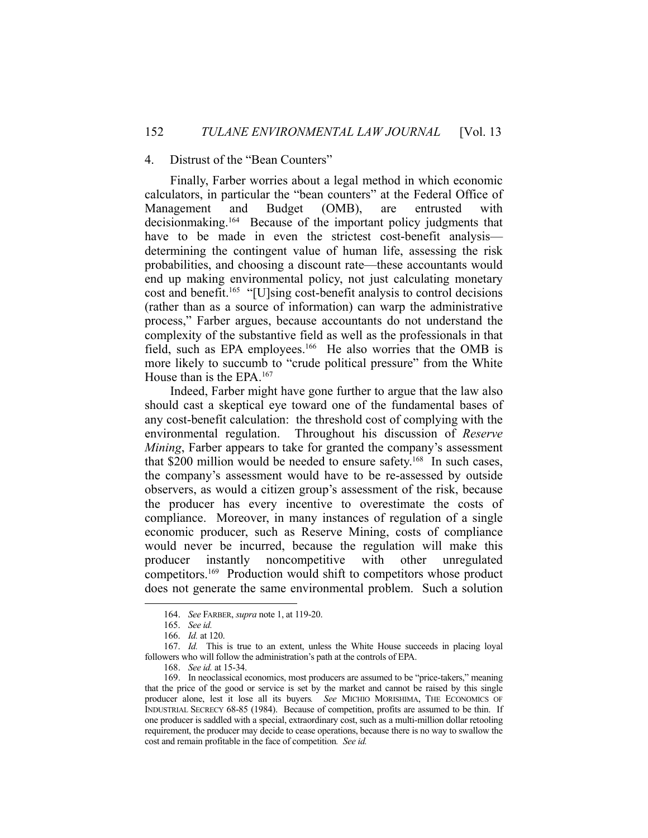# 4. Distrust of the "Bean Counters"

 Finally, Farber worries about a legal method in which economic calculators, in particular the "bean counters" at the Federal Office of Management and Budget (OMB), are entrusted with decisionmaking.164 Because of the important policy judgments that have to be made in even the strictest cost-benefit analysis determining the contingent value of human life, assessing the risk probabilities, and choosing a discount rate—these accountants would end up making environmental policy, not just calculating monetary cost and benefit.165 "[U]sing cost-benefit analysis to control decisions (rather than as a source of information) can warp the administrative process," Farber argues, because accountants do not understand the complexity of the substantive field as well as the professionals in that field, such as EPA employees.<sup>166</sup> He also worries that the OMB is more likely to succumb to "crude political pressure" from the White House than is the EPA.167

 Indeed, Farber might have gone further to argue that the law also should cast a skeptical eye toward one of the fundamental bases of any cost-benefit calculation: the threshold cost of complying with the environmental regulation. Throughout his discussion of *Reserve Mining*, Farber appears to take for granted the company's assessment that \$200 million would be needed to ensure safety.<sup>168</sup> In such cases, the company's assessment would have to be re-assessed by outside observers, as would a citizen group's assessment of the risk, because the producer has every incentive to overestimate the costs of compliance. Moreover, in many instances of regulation of a single economic producer, such as Reserve Mining, costs of compliance would never be incurred, because the regulation will make this producer instantly noncompetitive with other unregulated competitors.169 Production would shift to competitors whose product does not generate the same environmental problem. Such a solution

<u>.</u>

 <sup>164.</sup> *See* FARBER, *supra* note 1, at 119-20.

 <sup>165.</sup> *See id.*

 <sup>166.</sup> *Id.* at 120.

 <sup>167.</sup> *Id.* This is true to an extent, unless the White House succeeds in placing loyal followers who will follow the administration's path at the controls of EPA.

 <sup>168.</sup> *See id.* at 15-34.

 <sup>169.</sup> In neoclassical economics, most producers are assumed to be "price-takers," meaning that the price of the good or service is set by the market and cannot be raised by this single producer alone, lest it lose all its buyers*. See* MICHIO MORISHIMA, THE ECONOMICS OF INDUSTRIAL SECRECY 68-85 (1984). Because of competition, profits are assumed to be thin. If one producer is saddled with a special, extraordinary cost, such as a multi-million dollar retooling requirement, the producer may decide to cease operations, because there is no way to swallow the cost and remain profitable in the face of competition*. See id.*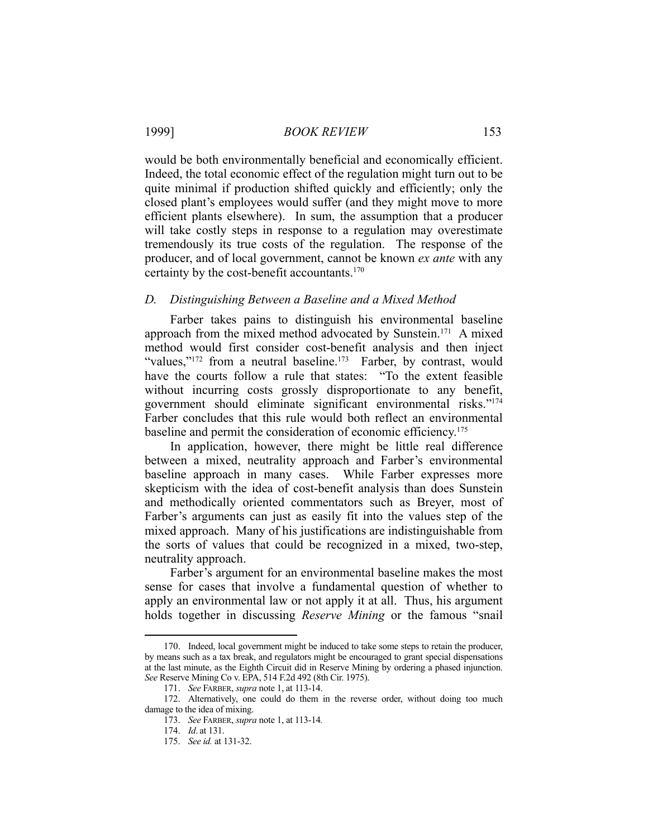would be both environmentally beneficial and economically efficient. Indeed, the total economic effect of the regulation might turn out to be quite minimal if production shifted quickly and efficiently; only the closed plant's employees would suffer (and they might move to more efficient plants elsewhere). In sum, the assumption that a producer will take costly steps in response to a regulation may overestimate tremendously its true costs of the regulation. The response of the producer, and of local government, cannot be known *ex ante* with any certainty by the cost-benefit accountants.170

# *D. Distinguishing Between a Baseline and a Mixed Method*

 Farber takes pains to distinguish his environmental baseline approach from the mixed method advocated by Sunstein.171 A mixed method would first consider cost-benefit analysis and then inject "values,"<sup>172</sup> from a neutral baseline.<sup>173</sup> Farber, by contrast, would have the courts follow a rule that states: "To the extent feasible without incurring costs grossly disproportionate to any benefit, government should eliminate significant environmental risks."174 Farber concludes that this rule would both reflect an environmental baseline and permit the consideration of economic efficiency.175

 In application, however, there might be little real difference between a mixed, neutrality approach and Farber's environmental baseline approach in many cases. While Farber expresses more skepticism with the idea of cost-benefit analysis than does Sunstein and methodically oriented commentators such as Breyer, most of Farber's arguments can just as easily fit into the values step of the mixed approach. Many of his justifications are indistinguishable from the sorts of values that could be recognized in a mixed, two-step, neutrality approach.

 Farber's argument for an environmental baseline makes the most sense for cases that involve a fundamental question of whether to apply an environmental law or not apply it at all. Thus, his argument holds together in discussing *Reserve Mining* or the famous "snail

 <sup>170.</sup> Indeed, local government might be induced to take some steps to retain the producer, by means such as a tax break, and regulators might be encouraged to grant special dispensations at the last minute, as the Eighth Circuit did in Reserve Mining by ordering a phased injunction. *See* Reserve Mining Co v. EPA, 514 F.2d 492 (8th Cir. 1975).

 <sup>171.</sup> *See* FARBER, *supra* note 1, at 113-14.

 <sup>172.</sup> Alternatively, one could do them in the reverse order, without doing too much damage to the idea of mixing.

 <sup>173.</sup> *See* FARBER, *supra* note 1, at 113-14*.*

 <sup>174.</sup> *Id*. at 131.

 <sup>175.</sup> *See id.* at 131-32.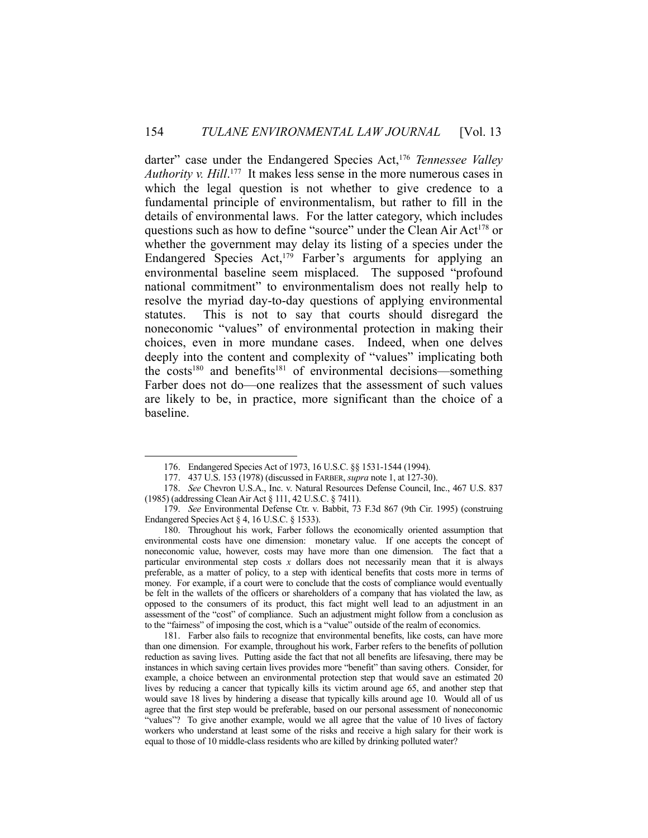darter" case under the Endangered Species Act,<sup>176</sup> *Tennessee Valley Authority v. Hill*. 177 It makes less sense in the more numerous cases in which the legal question is not whether to give credence to a fundamental principle of environmentalism, but rather to fill in the details of environmental laws. For the latter category, which includes questions such as how to define "source" under the Clean Air Act<sup>178</sup> or whether the government may delay its listing of a species under the Endangered Species Act,<sup>179</sup> Farber's arguments for applying an environmental baseline seem misplaced. The supposed "profound national commitment" to environmentalism does not really help to resolve the myriad day-to-day questions of applying environmental statutes. This is not to say that courts should disregard the noneconomic "values" of environmental protection in making their choices, even in more mundane cases. Indeed, when one delves deeply into the content and complexity of "values" implicating both the costs<sup>180</sup> and benefits<sup>181</sup> of environmental decisions—something Farber does not do—one realizes that the assessment of such values are likely to be, in practice, more significant than the choice of a baseline.

1

 180. Throughout his work, Farber follows the economically oriented assumption that environmental costs have one dimension: monetary value. If one accepts the concept of noneconomic value, however, costs may have more than one dimension. The fact that a particular environmental step costs *x* dollars does not necessarily mean that it is always preferable, as a matter of policy, to a step with identical benefits that costs more in terms of money. For example, if a court were to conclude that the costs of compliance would eventually be felt in the wallets of the officers or shareholders of a company that has violated the law, as opposed to the consumers of its product, this fact might well lead to an adjustment in an assessment of the "cost" of compliance. Such an adjustment might follow from a conclusion as to the "fairness" of imposing the cost, which is a "value" outside of the realm of economics.

 181. Farber also fails to recognize that environmental benefits, like costs, can have more than one dimension. For example, throughout his work, Farber refers to the benefits of pollution reduction as saving lives. Putting aside the fact that not all benefits are lifesaving, there may be instances in which saving certain lives provides more "benefit" than saving others. Consider, for example, a choice between an environmental protection step that would save an estimated 20 lives by reducing a cancer that typically kills its victim around age 65, and another step that would save 18 lives by hindering a disease that typically kills around age 10. Would all of us agree that the first step would be preferable, based on our personal assessment of noneconomic "values"? To give another example, would we all agree that the value of 10 lives of factory workers who understand at least some of the risks and receive a high salary for their work is equal to those of 10 middle-class residents who are killed by drinking polluted water?

 <sup>176.</sup> Endangered Species Act of 1973, 16 U.S.C. §§ 1531-1544 (1994).

 <sup>177. 437</sup> U.S. 153 (1978) (discussed in FARBER, *supra* note 1, at 127-30).

 <sup>178.</sup> *See* Chevron U.S.A., Inc. v. Natural Resources Defense Council, Inc., 467 U.S. 837 (1985) (addressing Clean Air Act § 111, 42 U.S.C. § 7411).

 <sup>179.</sup> *See* Environmental Defense Ctr. v. Babbit, 73 F.3d 867 (9th Cir. 1995) (construing Endangered Species Act § 4, 16 U.S.C. § 1533).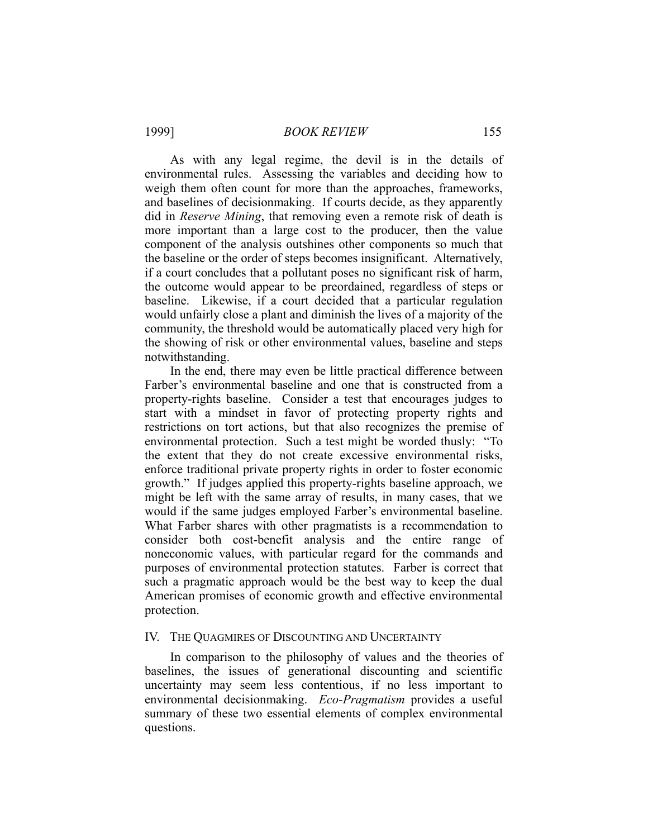1999] *BOOK REVIEW* 155

 As with any legal regime, the devil is in the details of environmental rules. Assessing the variables and deciding how to weigh them often count for more than the approaches, frameworks, and baselines of decisionmaking. If courts decide, as they apparently did in *Reserve Mining*, that removing even a remote risk of death is more important than a large cost to the producer, then the value component of the analysis outshines other components so much that the baseline or the order of steps becomes insignificant. Alternatively, if a court concludes that a pollutant poses no significant risk of harm, the outcome would appear to be preordained, regardless of steps or baseline. Likewise, if a court decided that a particular regulation would unfairly close a plant and diminish the lives of a majority of the community, the threshold would be automatically placed very high for the showing of risk or other environmental values, baseline and steps notwithstanding.

 In the end, there may even be little practical difference between Farber's environmental baseline and one that is constructed from a property-rights baseline. Consider a test that encourages judges to start with a mindset in favor of protecting property rights and restrictions on tort actions, but that also recognizes the premise of environmental protection. Such a test might be worded thusly: "To the extent that they do not create excessive environmental risks, enforce traditional private property rights in order to foster economic growth." If judges applied this property-rights baseline approach, we might be left with the same array of results, in many cases, that we would if the same judges employed Farber's environmental baseline. What Farber shares with other pragmatists is a recommendation to consider both cost-benefit analysis and the entire range of noneconomic values, with particular regard for the commands and purposes of environmental protection statutes. Farber is correct that such a pragmatic approach would be the best way to keep the dual American promises of economic growth and effective environmental protection.

# IV. THE QUAGMIRES OF DISCOUNTING AND UNCERTAINTY

 In comparison to the philosophy of values and the theories of baselines, the issues of generational discounting and scientific uncertainty may seem less contentious, if no less important to environmental decisionmaking. *Eco-Pragmatism* provides a useful summary of these two essential elements of complex environmental questions.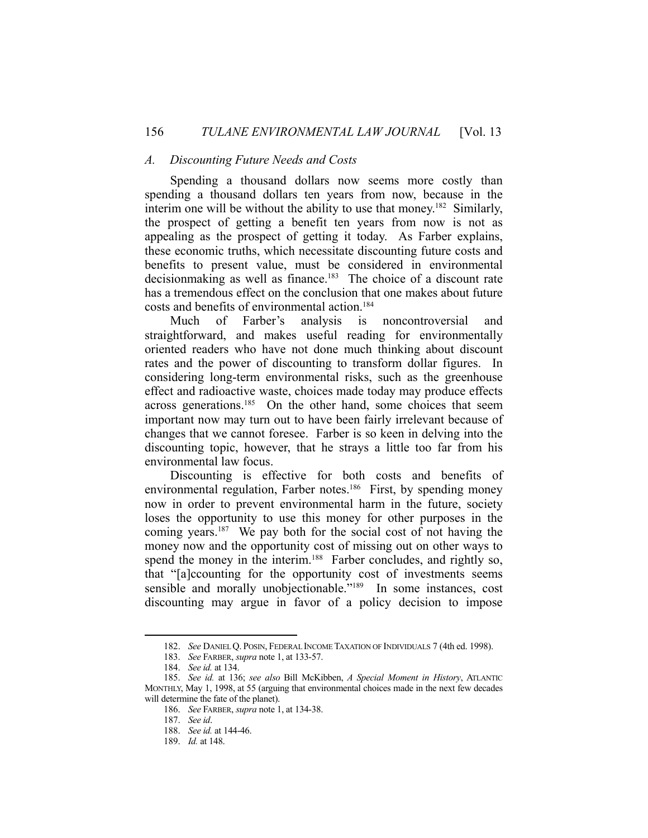#### *A. Discounting Future Needs and Costs*

 Spending a thousand dollars now seems more costly than spending a thousand dollars ten years from now, because in the interim one will be without the ability to use that money.<sup>182</sup> Similarly, the prospect of getting a benefit ten years from now is not as appealing as the prospect of getting it today. As Farber explains, these economic truths, which necessitate discounting future costs and benefits to present value, must be considered in environmental decisionmaking as well as finance.<sup>183</sup> The choice of a discount rate has a tremendous effect on the conclusion that one makes about future costs and benefits of environmental action.184

 Much of Farber's analysis is noncontroversial and straightforward, and makes useful reading for environmentally oriented readers who have not done much thinking about discount rates and the power of discounting to transform dollar figures. In considering long-term environmental risks, such as the greenhouse effect and radioactive waste, choices made today may produce effects across generations.185 On the other hand, some choices that seem important now may turn out to have been fairly irrelevant because of changes that we cannot foresee. Farber is so keen in delving into the discounting topic, however, that he strays a little too far from his environmental law focus.

 Discounting is effective for both costs and benefits of environmental regulation, Farber notes.<sup>186</sup> First, by spending money now in order to prevent environmental harm in the future, society loses the opportunity to use this money for other purposes in the coming years.<sup>187</sup> We pay both for the social cost of not having the money now and the opportunity cost of missing out on other ways to spend the money in the interim.<sup>188</sup> Farber concludes, and rightly so, that "[a]ccounting for the opportunity cost of investments seems sensible and morally unobjectionable."<sup>189</sup> In some instances, cost discounting may argue in favor of a policy decision to impose

 <sup>182.</sup> *See* DANIEL Q. POSIN, FEDERAL INCOME TAXATION OF INDIVIDUALS 7 (4th ed. 1998).

 <sup>183.</sup> *See* FARBER, *supra* note 1, at 133-57.

 <sup>184.</sup> *See id.* at 134.

 <sup>185.</sup> *See id.* at 136; *see also* Bill McKibben, *A Special Moment in History*, ATLANTIC MONTHLY, May 1, 1998, at 55 (arguing that environmental choices made in the next few decades will determine the fate of the planet).

 <sup>186.</sup> *See* FARBER, *supra* note 1, at 134-38.

 <sup>187.</sup> *See id*.

 <sup>188.</sup> *See id.* at 144-46.

 <sup>189.</sup> *Id.* at 148.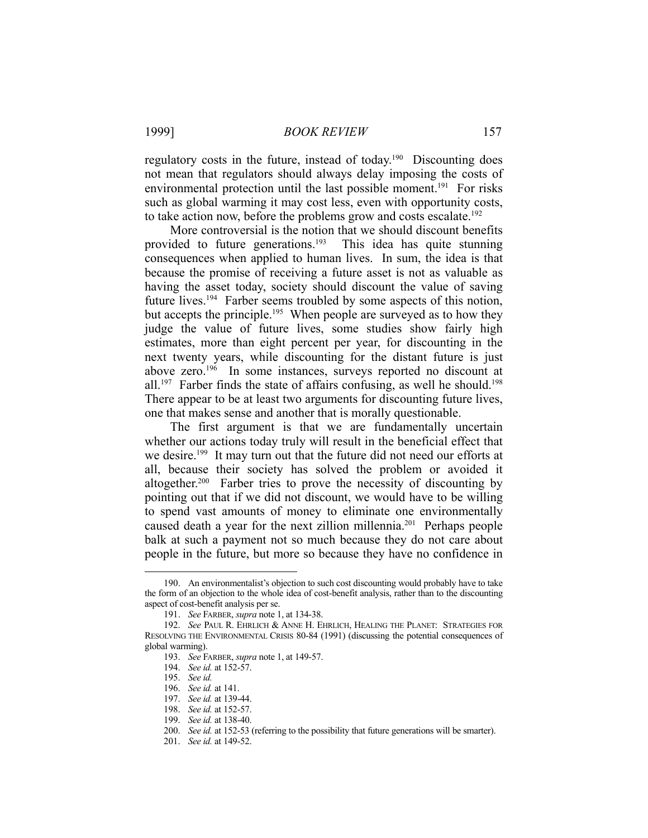regulatory costs in the future, instead of today.<sup>190</sup> Discounting does not mean that regulators should always delay imposing the costs of environmental protection until the last possible moment.<sup>191</sup> For risks such as global warming it may cost less, even with opportunity costs, to take action now, before the problems grow and costs escalate.<sup>192</sup>

 More controversial is the notion that we should discount benefits provided to future generations.<sup>193</sup> This idea has quite stunning consequences when applied to human lives. In sum, the idea is that because the promise of receiving a future asset is not as valuable as having the asset today, society should discount the value of saving future lives.<sup>194</sup> Farber seems troubled by some aspects of this notion, but accepts the principle.<sup>195</sup> When people are surveyed as to how they judge the value of future lives, some studies show fairly high estimates, more than eight percent per year, for discounting in the next twenty years, while discounting for the distant future is just above zero.196 In some instances, surveys reported no discount at all.<sup>197</sup> Farber finds the state of affairs confusing, as well he should.<sup>198</sup> There appear to be at least two arguments for discounting future lives, one that makes sense and another that is morally questionable.

 The first argument is that we are fundamentally uncertain whether our actions today truly will result in the beneficial effect that we desire.<sup>199</sup> It may turn out that the future did not need our efforts at all, because their society has solved the problem or avoided it altogether.<sup>200</sup> Farber tries to prove the necessity of discounting by pointing out that if we did not discount, we would have to be willing to spend vast amounts of money to eliminate one environmentally caused death a year for the next zillion millennia.<sup>201</sup> Perhaps people balk at such a payment not so much because they do not care about people in the future, but more so because they have no confidence in

 <sup>190.</sup> An environmentalist's objection to such cost discounting would probably have to take the form of an objection to the whole idea of cost-benefit analysis, rather than to the discounting aspect of cost-benefit analysis per se.

 <sup>191.</sup> *See* FARBER, *supra* note 1, at 134-38.

 <sup>192.</sup> *See* PAUL R. EHRLICH & ANNE H. EHRLICH, HEALING THE PLANET: STRATEGIES FOR RESOLVING THE ENVIRONMENTAL CRISIS 80-84 (1991) (discussing the potential consequences of global warming).

 <sup>193.</sup> *See* FARBER, *supra* note 1, at 149-57.

 <sup>194.</sup> *See id.* at 152-57.

 <sup>195.</sup> *See id.*

 <sup>196.</sup> *See id.* at 141.

 <sup>197.</sup> *See id.* at 139-44.

 <sup>198.</sup> *See id.* at 152-57.

 <sup>199.</sup> *See id.* at 138-40.

 <sup>200.</sup> *See id.* at 152-53 (referring to the possibility that future generations will be smarter).

 <sup>201.</sup> *See id.* at 149-52.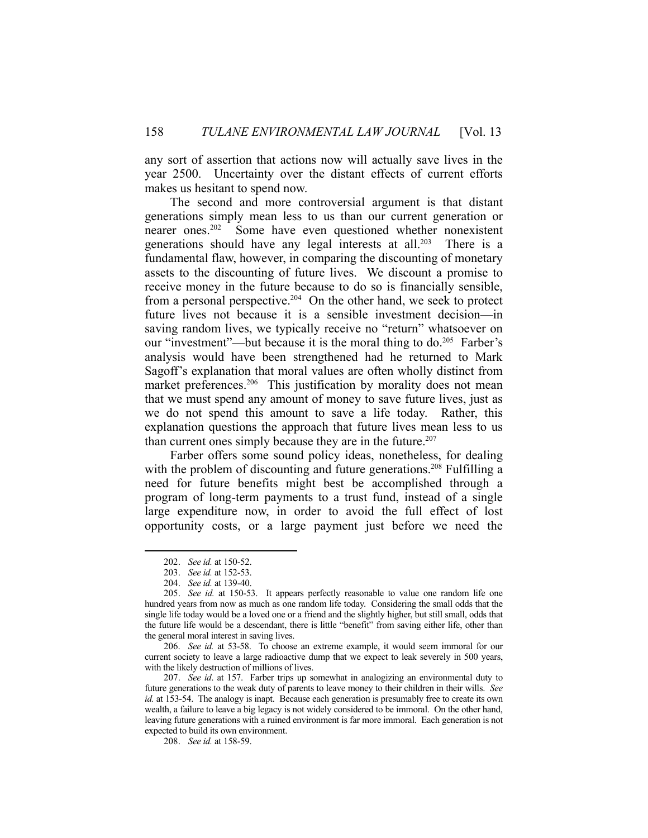any sort of assertion that actions now will actually save lives in the year 2500. Uncertainty over the distant effects of current efforts makes us hesitant to spend now.

 The second and more controversial argument is that distant generations simply mean less to us than our current generation or nearer ones.202 Some have even questioned whether nonexistent generations should have any legal interests at all.<sup>203</sup> There is a fundamental flaw, however, in comparing the discounting of monetary assets to the discounting of future lives. We discount a promise to receive money in the future because to do so is financially sensible, from a personal perspective.<sup>204</sup> On the other hand, we seek to protect future lives not because it is a sensible investment decision—in saving random lives, we typically receive no "return" whatsoever on our "investment"—but because it is the moral thing to do.<sup>205</sup> Farber's analysis would have been strengthened had he returned to Mark Sagoff's explanation that moral values are often wholly distinct from market preferences.<sup>206</sup> This justification by morality does not mean that we must spend any amount of money to save future lives, just as we do not spend this amount to save a life today. Rather, this explanation questions the approach that future lives mean less to us than current ones simply because they are in the future.<sup>207</sup>

 Farber offers some sound policy ideas, nonetheless, for dealing with the problem of discounting and future generations.<sup>208</sup> Fulfilling a need for future benefits might best be accomplished through a program of long-term payments to a trust fund, instead of a single large expenditure now, in order to avoid the full effect of lost opportunity costs, or a large payment just before we need the

<u>.</u>

 <sup>202.</sup> *See id.* at 150-52.

 <sup>203.</sup> *See id.* at 152-53.

 <sup>204.</sup> *See id.* at 139-40.

 <sup>205.</sup> *See id.* at 150-53. It appears perfectly reasonable to value one random life one hundred years from now as much as one random life today. Considering the small odds that the single life today would be a loved one or a friend and the slightly higher, but still small, odds that the future life would be a descendant, there is little "benefit" from saving either life, other than the general moral interest in saving lives.

 <sup>206.</sup> *See id.* at 53-58. To choose an extreme example, it would seem immoral for our current society to leave a large radioactive dump that we expect to leak severely in 500 years, with the likely destruction of millions of lives.

 <sup>207.</sup> *See id*. at 157. Farber trips up somewhat in analogizing an environmental duty to future generations to the weak duty of parents to leave money to their children in their wills. *See id.* at 153-54. The analogy is inapt. Because each generation is presumably free to create its own wealth, a failure to leave a big legacy is not widely considered to be immoral. On the other hand, leaving future generations with a ruined environment is far more immoral. Each generation is not expected to build its own environment.

 <sup>208.</sup> *See id.* at 158-59.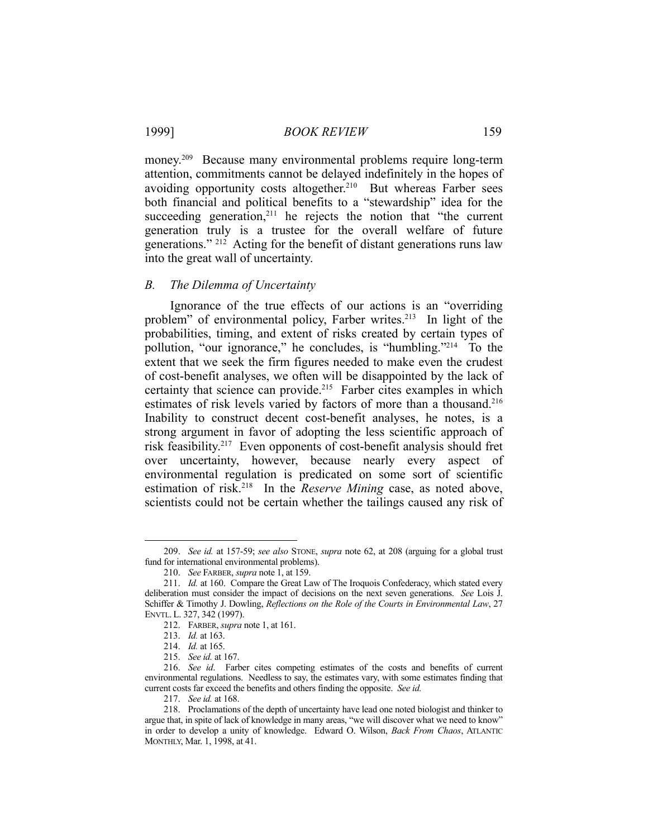money.<sup>209</sup> Because many environmental problems require long-term attention, commitments cannot be delayed indefinitely in the hopes of avoiding opportunity costs altogether.<sup>210</sup> But whereas Farber sees both financial and political benefits to a "stewardship" idea for the succeeding generation,<sup>211</sup> he rejects the notion that "the current generation truly is a trustee for the overall welfare of future generations."<sup>212</sup> Acting for the benefit of distant generations runs law into the great wall of uncertainty.

# *B. The Dilemma of Uncertainty*

 Ignorance of the true effects of our actions is an "overriding problem" of environmental policy, Farber writes.<sup>213</sup> In light of the probabilities, timing, and extent of risks created by certain types of pollution, "our ignorance," he concludes, is "humbling."214 To the extent that we seek the firm figures needed to make even the crudest of cost-benefit analyses, we often will be disappointed by the lack of certainty that science can provide.<sup>215</sup> Farber cites examples in which estimates of risk levels varied by factors of more than a thousand.<sup>216</sup> Inability to construct decent cost-benefit analyses, he notes, is a strong argument in favor of adopting the less scientific approach of risk feasibility.217 Even opponents of cost-benefit analysis should fret over uncertainty, however, because nearly every aspect of environmental regulation is predicated on some sort of scientific estimation of risk.218 In the *Reserve Mining* case, as noted above, scientists could not be certain whether the tailings caused any risk of

 <sup>209.</sup> *See id.* at 157-59; *see also* STONE, *supra* note 62, at 208 (arguing for a global trust fund for international environmental problems).

 <sup>210.</sup> *See* FARBER, *supra* note 1, at 159.

 <sup>211.</sup> *Id.* at 160. Compare the Great Law of The Iroquois Confederacy, which stated every deliberation must consider the impact of decisions on the next seven generations. *See* Lois J. Schiffer & Timothy J. Dowling, *Reflections on the Role of the Courts in Environmental Law*, 27 ENVTL. L. 327, 342 (1997).

 <sup>212.</sup> FARBER, *supra* note 1, at 161.

 <sup>213.</sup> *Id.* at 163.

 <sup>214.</sup> *Id.* at 165.

 <sup>215.</sup> *See id.* at 167.

 <sup>216.</sup> *See id*. Farber cites competing estimates of the costs and benefits of current environmental regulations. Needless to say, the estimates vary, with some estimates finding that current costs far exceed the benefits and others finding the opposite. *See id.*

 <sup>217.</sup> *See id.* at 168.

 <sup>218.</sup> Proclamations of the depth of uncertainty have lead one noted biologist and thinker to argue that, in spite of lack of knowledge in many areas, "we will discover what we need to know" in order to develop a unity of knowledge. Edward O. Wilson, *Back From Chaos*, ATLANTIC MONTHLY, Mar. 1, 1998, at 41.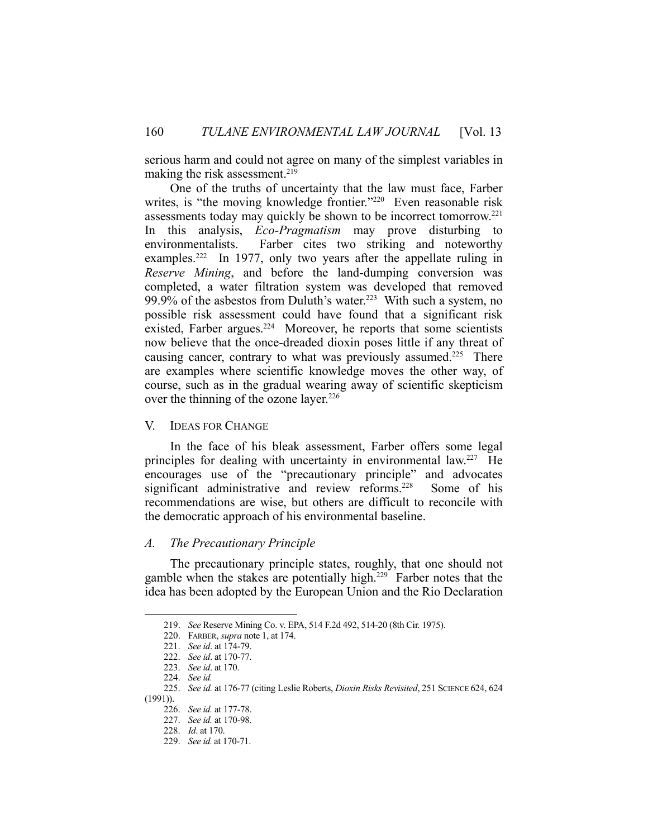serious harm and could not agree on many of the simplest variables in making the risk assessment.<sup>219</sup>

 One of the truths of uncertainty that the law must face, Farber writes, is "the moving knowledge frontier."<sup>220</sup> Even reasonable risk assessments today may quickly be shown to be incorrect tomorrow. 221 In this analysis, *Eco-Pragmatism* may prove disturbing to environmentalists. Farber cites two striking and noteworthy examples.<sup>222</sup> In 1977, only two years after the appellate ruling in *Reserve Mining*, and before the land-dumping conversion was completed, a water filtration system was developed that removed 99.9% of the asbestos from Duluth's water.<sup>223</sup> With such a system, no possible risk assessment could have found that a significant risk existed, Farber argues.<sup>224</sup> Moreover, he reports that some scientists now believe that the once-dreaded dioxin poses little if any threat of causing cancer, contrary to what was previously assumed.<sup>225</sup> There are examples where scientific knowledge moves the other way, of course, such as in the gradual wearing away of scientific skepticism over the thinning of the ozone layer.<sup>226</sup>

# V. IDEAS FOR CHANGE

 In the face of his bleak assessment, Farber offers some legal principles for dealing with uncertainty in environmental law.227 He encourages use of the "precautionary principle" and advocates significant administrative and review reforms.<sup>228</sup> Some of his recommendations are wise, but others are difficult to reconcile with the democratic approach of his environmental baseline.

#### *A. The Precautionary Principle*

 The precautionary principle states, roughly, that one should not gamble when the stakes are potentially high.<sup>229</sup> Farber notes that the idea has been adopted by the European Union and the Rio Declaration

 <sup>219.</sup> *See* Reserve Mining Co. v. EPA, 514 F.2d 492, 514-20 (8th Cir. 1975).

 <sup>220.</sup> FARBER, *supra* note 1, at 174.

 <sup>221.</sup> *See id*. at 174-79.

 <sup>222.</sup> *See id*. at 170-77.

 <sup>223.</sup> *See id*. at 170.

 <sup>224.</sup> *See id.*

 <sup>225.</sup> *See id.* at 176-77 (citing Leslie Roberts, *Dioxin Risks Revisited*, 251 SCIENCE 624, 624 (1991)).

 <sup>226.</sup> *See id.* at 177-78.

 <sup>227.</sup> *See id.* at 170-98.

 <sup>228.</sup> *Id*. at 170.

 <sup>229.</sup> *See id.* at 170-71.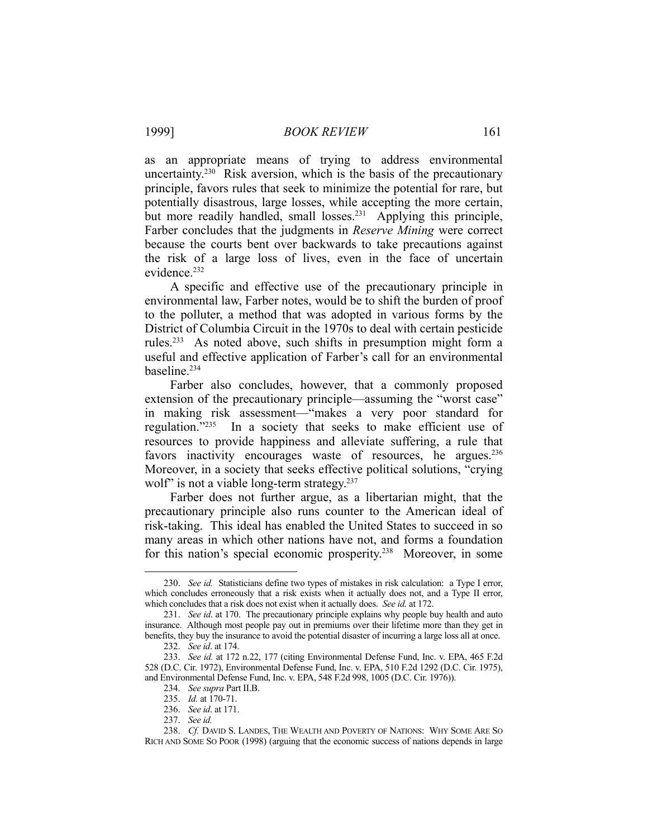as an appropriate means of trying to address environmental uncertainty.230 Risk aversion, which is the basis of the precautionary principle, favors rules that seek to minimize the potential for rare, but potentially disastrous, large losses, while accepting the more certain, but more readily handled, small losses.<sup>231</sup> Applying this principle, Farber concludes that the judgments in *Reserve Mining* were correct because the courts bent over backwards to take precautions against the risk of a large loss of lives, even in the face of uncertain evidence.<sup>232</sup>

 A specific and effective use of the precautionary principle in environmental law, Farber notes, would be to shift the burden of proof to the polluter, a method that was adopted in various forms by the District of Columbia Circuit in the 1970s to deal with certain pesticide rules.233 As noted above, such shifts in presumption might form a useful and effective application of Farber's call for an environmental baseline.234

 Farber also concludes, however, that a commonly proposed extension of the precautionary principle—assuming the "worst case" in making risk assessment—"makes a very poor standard for regulation."235 In a society that seeks to make efficient use of resources to provide happiness and alleviate suffering, a rule that favors inactivity encourages waste of resources, he argues.<sup>236</sup> Moreover, in a society that seeks effective political solutions, "crying wolf" is not a viable long-term strategy.<sup>237</sup>

 Farber does not further argue, as a libertarian might, that the precautionary principle also runs counter to the American ideal of risk-taking. This ideal has enabled the United States to succeed in so many areas in which other nations have not, and forms a foundation for this nation's special economic prosperity.238 Moreover, in some

 <sup>230.</sup> *See id.* Statisticians define two types of mistakes in risk calculation: a Type I error, which concludes erroneously that a risk exists when it actually does not, and a Type II error, which concludes that a risk does not exist when it actually does. *See id.* at 172.

 <sup>231.</sup> *See id*. at 170. The precautionary principle explains why people buy health and auto insurance. Although most people pay out in premiums over their lifetime more than they get in benefits, they buy the insurance to avoid the potential disaster of incurring a large loss all at once. 232. *See id*. at 174.

 <sup>233.</sup> *See id.* at 172 n.22, 177 (citing Environmental Defense Fund, Inc. v. EPA, 465 F.2d 528 (D.C. Cir. 1972), Environmental Defense Fund, Inc. v. EPA, 510 F.2d 1292 (D.C. Cir. 1975), and Environmental Defense Fund, Inc. v. EPA, 548 F.2d 998, 1005 (D.C. Cir. 1976)).

 <sup>234.</sup> *See supra* Part II.B.

<sup>235.</sup> *Id.* at 170-71.

 <sup>236.</sup> *See id*. at 171.

 <sup>237.</sup> *See id.*

 <sup>238.</sup> *Cf.* DAVID S. LANDES, THE WEALTH AND POVERTY OF NATIONS: WHY SOME ARE SO RICH AND SOME SO POOR (1998) (arguing that the economic success of nations depends in large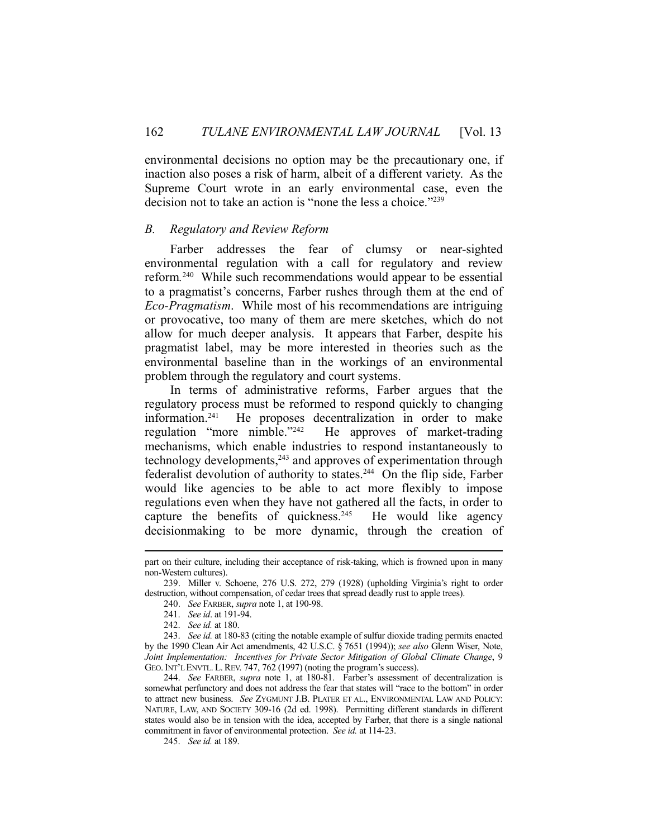environmental decisions no option may be the precautionary one, if inaction also poses a risk of harm, albeit of a different variety. As the Supreme Court wrote in an early environmental case, even the decision not to take an action is "none the less a choice."239

# *B. Regulatory and Review Reform*

 Farber addresses the fear of clumsy or near-sighted environmental regulation with a call for regulatory and review reform*.* 240 While such recommendations would appear to be essential to a pragmatist's concerns, Farber rushes through them at the end of *Eco-Pragmatism*. While most of his recommendations are intriguing or provocative, too many of them are mere sketches, which do not allow for much deeper analysis. It appears that Farber, despite his pragmatist label, may be more interested in theories such as the environmental baseline than in the workings of an environmental problem through the regulatory and court systems.

 In terms of administrative reforms, Farber argues that the regulatory process must be reformed to respond quickly to changing information.241 He proposes decentralization in order to make regulation "more nimble."242 He approves of market-trading mechanisms, which enable industries to respond instantaneously to technology developments,<sup>243</sup> and approves of experimentation through federalist devolution of authority to states.244 On the flip side, Farber would like agencies to be able to act more flexibly to impose regulations even when they have not gathered all the facts, in order to capture the benefits of quickness.<sup>245</sup> He would like agency decisionmaking to be more dynamic, through the creation of

 244. *See* FARBER, *supra* note 1, at 180-81. Farber's assessment of decentralization is somewhat perfunctory and does not address the fear that states will "race to the bottom" in order to attract new business. *See* ZYGMUNT J.B. PLATER ET AL., ENVIRONMENTAL LAW AND POLICY: NATURE, LAW, AND SOCIETY 309-16 (2d ed. 1998). Permitting different standards in different states would also be in tension with the idea, accepted by Farber, that there is a single national commitment in favor of environmental protection. *See id.* at 114-23.

245. *See id.* at 189.

part on their culture, including their acceptance of risk-taking, which is frowned upon in many non-Western cultures).

 <sup>239.</sup> Miller v. Schoene, 276 U.S. 272, 279 (1928) (upholding Virginia's right to order destruction, without compensation, of cedar trees that spread deadly rust to apple trees).

 <sup>240.</sup> *See* FARBER, *supra* note 1, at 190-98.

 <sup>241.</sup> *See id*. at 191-94.

 <sup>242.</sup> *See id.* at 180.

 <sup>243.</sup> *See id.* at 180-83 (citing the notable example of sulfur dioxide trading permits enacted by the 1990 Clean Air Act amendments, 42 U.S.C. § 7651 (1994)); *see also* Glenn Wiser, Note, *Joint Implementation: Incentives for Private Sector Mitigation of Global Climate Change*, 9 GEO. INT'L ENVTL. L. REV. 747, 762 (1997) (noting the program's success).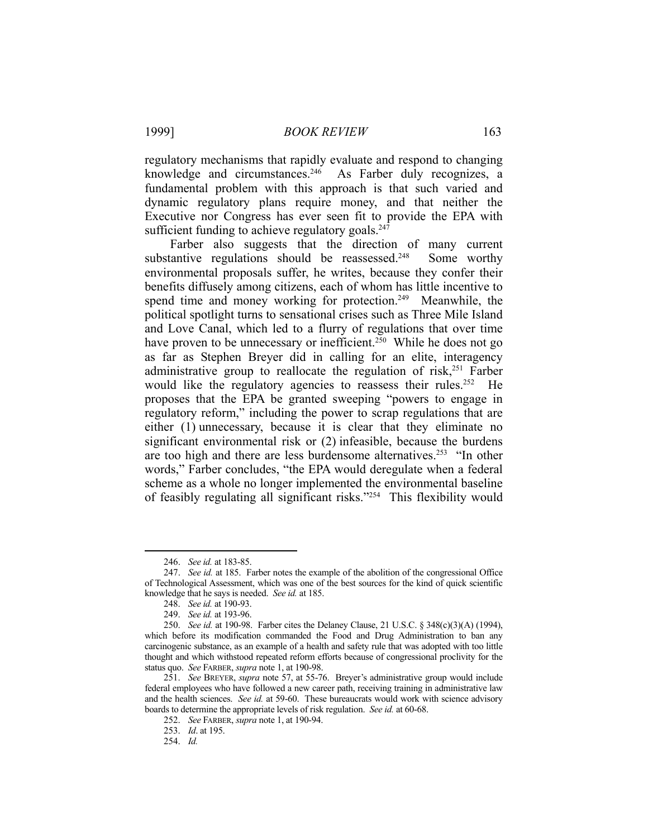regulatory mechanisms that rapidly evaluate and respond to changing knowledge and circumstances.<sup>246</sup> As Farber duly recognizes, a fundamental problem with this approach is that such varied and dynamic regulatory plans require money, and that neither the Executive nor Congress has ever seen fit to provide the EPA with sufficient funding to achieve regulatory goals. $247$ 

 Farber also suggests that the direction of many current substantive regulations should be reassessed.<sup>248</sup> Some worthy environmental proposals suffer, he writes, because they confer their benefits diffusely among citizens, each of whom has little incentive to spend time and money working for protection.<sup>249</sup> Meanwhile, the political spotlight turns to sensational crises such as Three Mile Island and Love Canal, which led to a flurry of regulations that over time have proven to be unnecessary or inefficient.<sup>250</sup> While he does not go as far as Stephen Breyer did in calling for an elite, interagency administrative group to reallocate the regulation of risk, $251$  Farber would like the regulatory agencies to reassess their rules.<sup>252</sup> He proposes that the EPA be granted sweeping "powers to engage in regulatory reform," including the power to scrap regulations that are either (1) unnecessary, because it is clear that they eliminate no significant environmental risk or (2) infeasible, because the burdens are too high and there are less burdensome alternatives.<sup>253</sup> "In other words," Farber concludes, "the EPA would deregulate when a federal scheme as a whole no longer implemented the environmental baseline of feasibly regulating all significant risks."254 This flexibility would

<u>.</u>

 <sup>246.</sup> *See id.* at 183-85.

 <sup>247.</sup> *See id.* at 185. Farber notes the example of the abolition of the congressional Office of Technological Assessment, which was one of the best sources for the kind of quick scientific knowledge that he says is needed. *See id.* at 185.

 <sup>248.</sup> *See id.* at 190-93.

 <sup>249.</sup> *See id.* at 193-96.

 <sup>250.</sup> *See id.* at 190-98. Farber cites the Delaney Clause, 21 U.S.C. § 348(c)(3)(A) (1994), which before its modification commanded the Food and Drug Administration to ban any carcinogenic substance, as an example of a health and safety rule that was adopted with too little thought and which withstood repeated reform efforts because of congressional proclivity for the status quo. *See* FARBER, *supra* note 1, at 190-98.

 <sup>251.</sup> *See* BREYER, *supra* note 57, at 55-76. Breyer's administrative group would include federal employees who have followed a new career path, receiving training in administrative law and the health sciences. *See id.* at 59-60. These bureaucrats would work with science advisory boards to determine the appropriate levels of risk regulation. *See id.* at 60-68.

 <sup>252.</sup> *See* FARBER, *supra* note 1, at 190-94.

 <sup>253.</sup> *Id*. at 195.

 <sup>254.</sup> *Id.*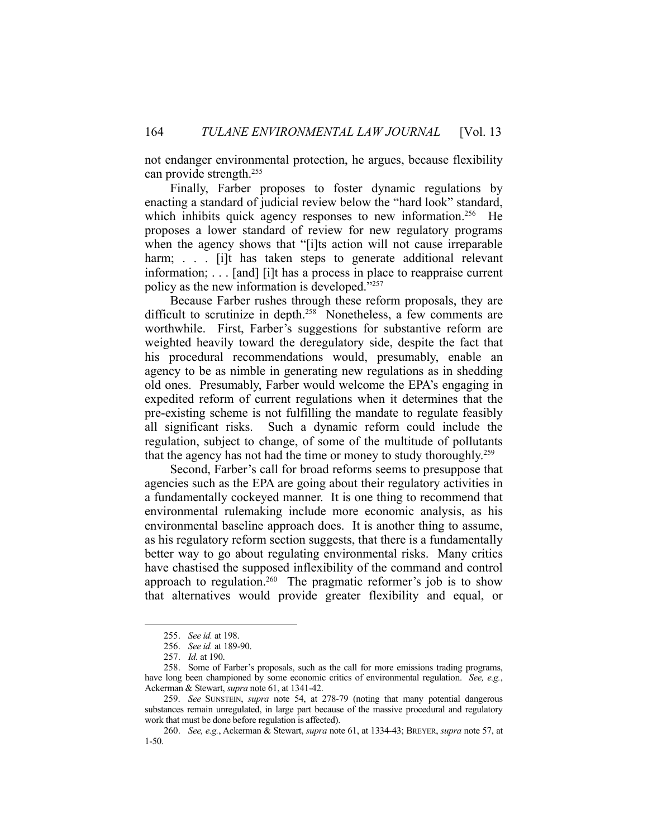not endanger environmental protection, he argues, because flexibility can provide strength.255

 Finally, Farber proposes to foster dynamic regulations by enacting a standard of judicial review below the "hard look" standard, which inhibits quick agency responses to new information.<sup>256</sup> He proposes a lower standard of review for new regulatory programs when the agency shows that "[i]ts action will not cause irreparable harm; . . . [i]t has taken steps to generate additional relevant information; . . . [and] [i]t has a process in place to reappraise current policy as the new information is developed."257

 Because Farber rushes through these reform proposals, they are difficult to scrutinize in depth.<sup>258</sup> Nonetheless, a few comments are worthwhile. First, Farber's suggestions for substantive reform are weighted heavily toward the deregulatory side, despite the fact that his procedural recommendations would, presumably, enable an agency to be as nimble in generating new regulations as in shedding old ones. Presumably, Farber would welcome the EPA's engaging in expedited reform of current regulations when it determines that the pre-existing scheme is not fulfilling the mandate to regulate feasibly all significant risks. Such a dynamic reform could include the regulation, subject to change, of some of the multitude of pollutants that the agency has not had the time or money to study thoroughly.259

 Second, Farber's call for broad reforms seems to presuppose that agencies such as the EPA are going about their regulatory activities in a fundamentally cockeyed manner. It is one thing to recommend that environmental rulemaking include more economic analysis, as his environmental baseline approach does. It is another thing to assume, as his regulatory reform section suggests, that there is a fundamentally better way to go about regulating environmental risks. Many critics have chastised the supposed inflexibility of the command and control approach to regulation.<sup>260</sup> The pragmatic reformer's job is to show that alternatives would provide greater flexibility and equal, or

<u>.</u>

 <sup>255.</sup> *See id.* at 198.

 <sup>256.</sup> *See id.* at 189-90.

 <sup>257.</sup> *Id.* at 190.

 <sup>258.</sup> Some of Farber's proposals, such as the call for more emissions trading programs, have long been championed by some economic critics of environmental regulation. *See, e.g.*, Ackerman & Stewart, *supra* note 61, at 1341-42.

 <sup>259.</sup> *See* SUNSTEIN, *supra* note 54, at 278-79 (noting that many potential dangerous substances remain unregulated, in large part because of the massive procedural and regulatory work that must be done before regulation is affected).

 <sup>260.</sup> *See, e.g.*, Ackerman & Stewart, *supra* note 61, at 1334-43; BREYER, *supra* note 57, at 1-50.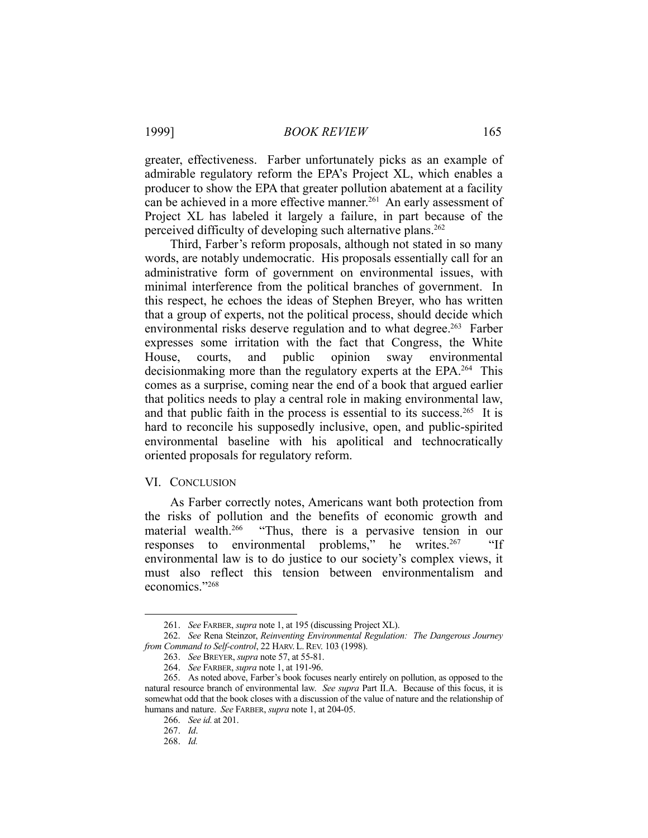greater, effectiveness. Farber unfortunately picks as an example of admirable regulatory reform the EPA's Project XL, which enables a producer to show the EPA that greater pollution abatement at a facility can be achieved in a more effective manner.<sup>261</sup> An early assessment of Project XL has labeled it largely a failure, in part because of the perceived difficulty of developing such alternative plans.<sup>262</sup>

 Third, Farber's reform proposals, although not stated in so many words, are notably undemocratic. His proposals essentially call for an administrative form of government on environmental issues, with minimal interference from the political branches of government. In this respect, he echoes the ideas of Stephen Breyer, who has written that a group of experts, not the political process, should decide which environmental risks deserve regulation and to what degree.<sup>263</sup> Farber expresses some irritation with the fact that Congress, the White House, courts, and public opinion sway environmental decisionmaking more than the regulatory experts at the EPA.<sup>264</sup> This comes as a surprise, coming near the end of a book that argued earlier that politics needs to play a central role in making environmental law, and that public faith in the process is essential to its success.<sup>265</sup> It is hard to reconcile his supposedly inclusive, open, and public-spirited environmental baseline with his apolitical and technocratically oriented proposals for regulatory reform.

#### VI. CONCLUSION

 As Farber correctly notes, Americans want both protection from the risks of pollution and the benefits of economic growth and material wealth.<sup>266</sup> "Thus, there is a pervasive tension in our "Thus, there is a pervasive tension in our responses to environmental problems," he writes. $267$  "If environmental law is to do justice to our society's complex views, it must also reflect this tension between environmentalism and economics."268

 <sup>261.</sup> *See* FARBER, *supra* note 1, at 195 (discussing Project XL).

 <sup>262.</sup> *See* Rena Steinzor, *Reinventing Environmental Regulation: The Dangerous Journey from Command to Self-control*, 22 HARV. L. REV. 103 (1998).

 <sup>263.</sup> *See* BREYER, *supra* note 57, at 55-81.

 <sup>264.</sup> *See* FARBER, *supra* note 1, at 191-96.

 <sup>265.</sup> As noted above, Farber's book focuses nearly entirely on pollution, as opposed to the natural resource branch of environmental law. *See supra* Part II.A. Because of this focus, it is somewhat odd that the book closes with a discussion of the value of nature and the relationship of humans and nature. *See* FARBER, *supra* note 1, at 204-05.

 <sup>266.</sup> *See id.* at 201.

 <sup>267.</sup> *Id*.

 <sup>268.</sup> *Id.*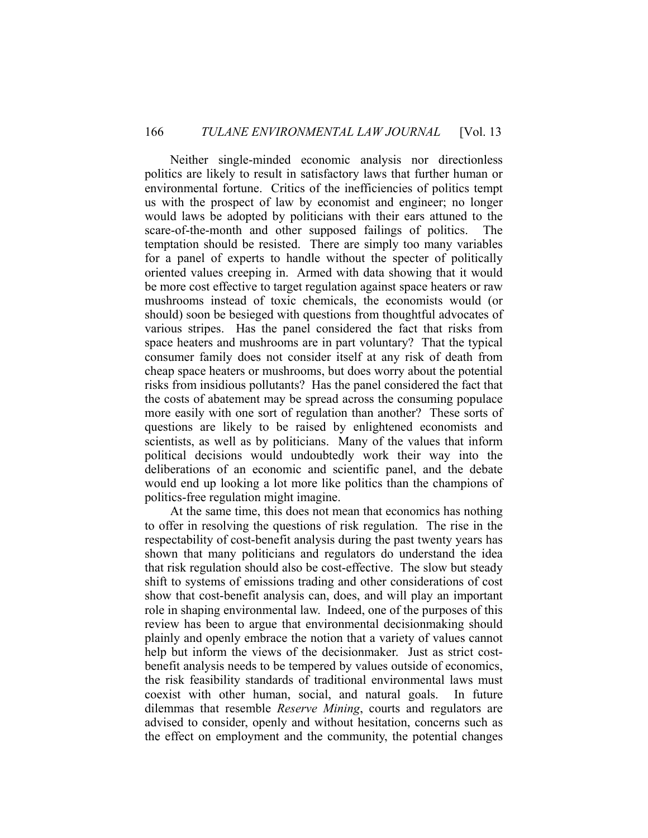Neither single-minded economic analysis nor directionless politics are likely to result in satisfactory laws that further human or environmental fortune. Critics of the inefficiencies of politics tempt us with the prospect of law by economist and engineer; no longer would laws be adopted by politicians with their ears attuned to the scare-of-the-month and other supposed failings of politics. The temptation should be resisted. There are simply too many variables for a panel of experts to handle without the specter of politically oriented values creeping in. Armed with data showing that it would be more cost effective to target regulation against space heaters or raw mushrooms instead of toxic chemicals, the economists would (or should) soon be besieged with questions from thoughtful advocates of various stripes. Has the panel considered the fact that risks from space heaters and mushrooms are in part voluntary? That the typical consumer family does not consider itself at any risk of death from cheap space heaters or mushrooms, but does worry about the potential risks from insidious pollutants? Has the panel considered the fact that the costs of abatement may be spread across the consuming populace more easily with one sort of regulation than another? These sorts of questions are likely to be raised by enlightened economists and scientists, as well as by politicians. Many of the values that inform political decisions would undoubtedly work their way into the deliberations of an economic and scientific panel, and the debate would end up looking a lot more like politics than the champions of politics-free regulation might imagine.

 At the same time, this does not mean that economics has nothing to offer in resolving the questions of risk regulation. The rise in the respectability of cost-benefit analysis during the past twenty years has shown that many politicians and regulators do understand the idea that risk regulation should also be cost-effective. The slow but steady shift to systems of emissions trading and other considerations of cost show that cost-benefit analysis can, does, and will play an important role in shaping environmental law. Indeed, one of the purposes of this review has been to argue that environmental decisionmaking should plainly and openly embrace the notion that a variety of values cannot help but inform the views of the decisionmaker. Just as strict costbenefit analysis needs to be tempered by values outside of economics, the risk feasibility standards of traditional environmental laws must coexist with other human, social, and natural goals. In future dilemmas that resemble *Reserve Mining*, courts and regulators are advised to consider, openly and without hesitation, concerns such as the effect on employment and the community, the potential changes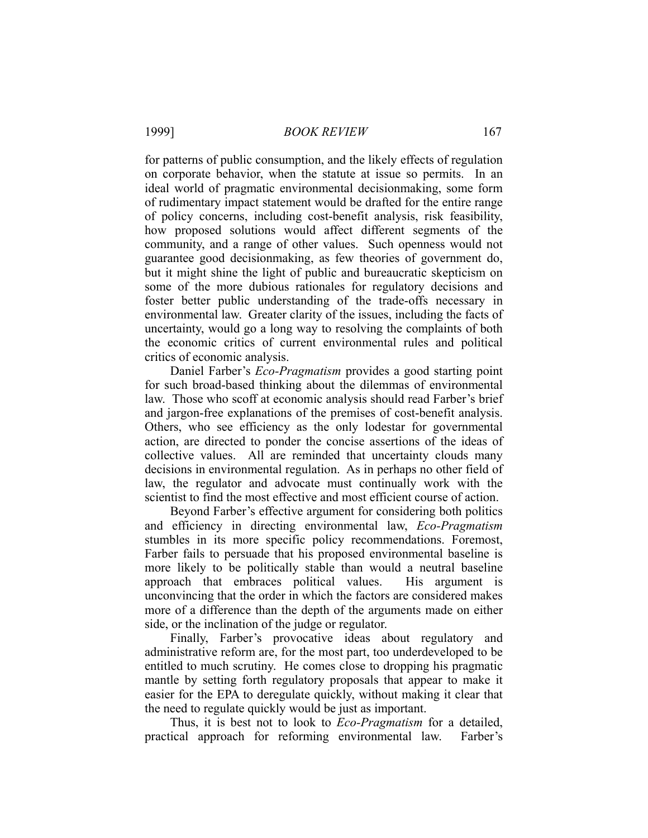for patterns of public consumption, and the likely effects of regulation on corporate behavior, when the statute at issue so permits. In an ideal world of pragmatic environmental decisionmaking, some form of rudimentary impact statement would be drafted for the entire range of policy concerns, including cost-benefit analysis, risk feasibility, how proposed solutions would affect different segments of the community, and a range of other values. Such openness would not guarantee good decisionmaking, as few theories of government do, but it might shine the light of public and bureaucratic skepticism on some of the more dubious rationales for regulatory decisions and foster better public understanding of the trade-offs necessary in environmental law. Greater clarity of the issues, including the facts of uncertainty, would go a long way to resolving the complaints of both the economic critics of current environmental rules and political critics of economic analysis.

 Daniel Farber's *Eco-Pragmatism* provides a good starting point for such broad-based thinking about the dilemmas of environmental law. Those who scoff at economic analysis should read Farber's brief and jargon-free explanations of the premises of cost-benefit analysis. Others, who see efficiency as the only lodestar for governmental action, are directed to ponder the concise assertions of the ideas of collective values. All are reminded that uncertainty clouds many decisions in environmental regulation. As in perhaps no other field of law, the regulator and advocate must continually work with the scientist to find the most effective and most efficient course of action.

 Beyond Farber's effective argument for considering both politics and efficiency in directing environmental law, *Eco-Pragmatism* stumbles in its more specific policy recommendations. Foremost, Farber fails to persuade that his proposed environmental baseline is more likely to be politically stable than would a neutral baseline approach that embraces political values. His argument is unconvincing that the order in which the factors are considered makes more of a difference than the depth of the arguments made on either side, or the inclination of the judge or regulator.

 Finally, Farber's provocative ideas about regulatory and administrative reform are, for the most part, too underdeveloped to be entitled to much scrutiny. He comes close to dropping his pragmatic mantle by setting forth regulatory proposals that appear to make it easier for the EPA to deregulate quickly, without making it clear that the need to regulate quickly would be just as important.

 Thus, it is best not to look to *Eco-Pragmatism* for a detailed, practical approach for reforming environmental law. Farber's